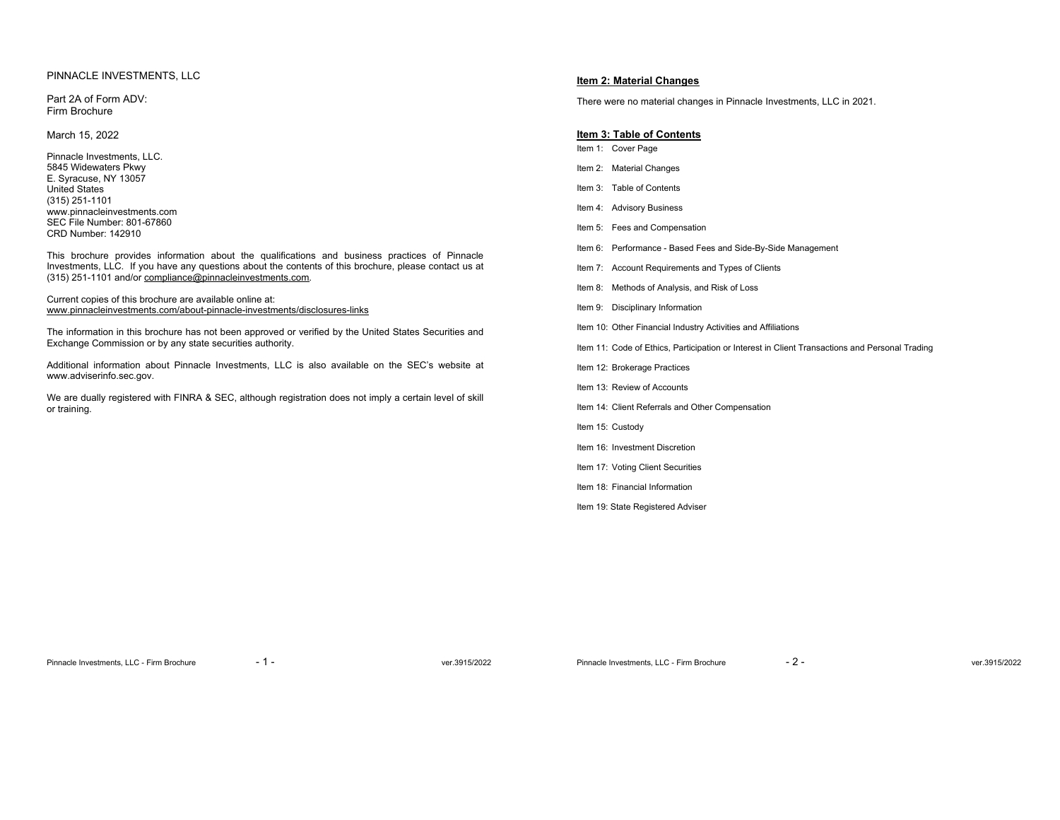# PINNACLE INVESTMENTS, LLC

Part 2A of Form ADV: Firm Brochure

March 15, 2022

Pinnacle Investments, LLC. 5845 Widewaters Pkwy E. Syracuse, NY 13057 United States (315) 251-1101 www.pinnacleinvestments.com SEC File Number: 801-67860 CRD Number: 142910

This brochure provides information about the qualifications and business practices of Pinnacle Investments, LLC. If you have any questions about the contents of this brochure, please contact us at (315) 251-1101 and/or compliance@pinnacleinvestments.com.

# Current copies of this brochure are available online at: www.pinnacleinvestments.com/about-pinnacle-investments/disclosures-links

The information in this brochure has not been approved or verified by the United States Securities and Exchange Commission or by any state securities authority.

Additional information about Pinnacle Investments, LLC is also available on the SEC's website at www.adviserinfo.sec.gov.

We are dually registered with FINRA & SEC, although registration does not imply a certain level of skill or training.

# **Item 2: Material Changes**

There were no material changes in Pinnacle Investments, LLC in 2021.

# **Item 3: Table of Contents**  Item 1: Cover Page Item 2: Material Changes Item 3: Table of Contents Item 4: Advisory Business Item 5: Fees and Compensation Item 6: Performance - Based Fees and Side-By-Side Management Item 7: Account Requirements and Types of Clients Item 8: Methods of Analysis, and Risk of Loss Item 9: Disciplinary Information Item 10: Other Financial Industry Activities and Affiliations Item 11: Code of Ethics, Participation or Interest in Client Transactions and Personal Trading Item 12: Brokerage Practices Item 13: Review of Accounts Item 14: Client Referrals and Other Compensation Item 15: Custody Item 16: Investment Discretion Item 17: Voting Client Securities Item 18: Financial Information Item 19: State Registered Adviser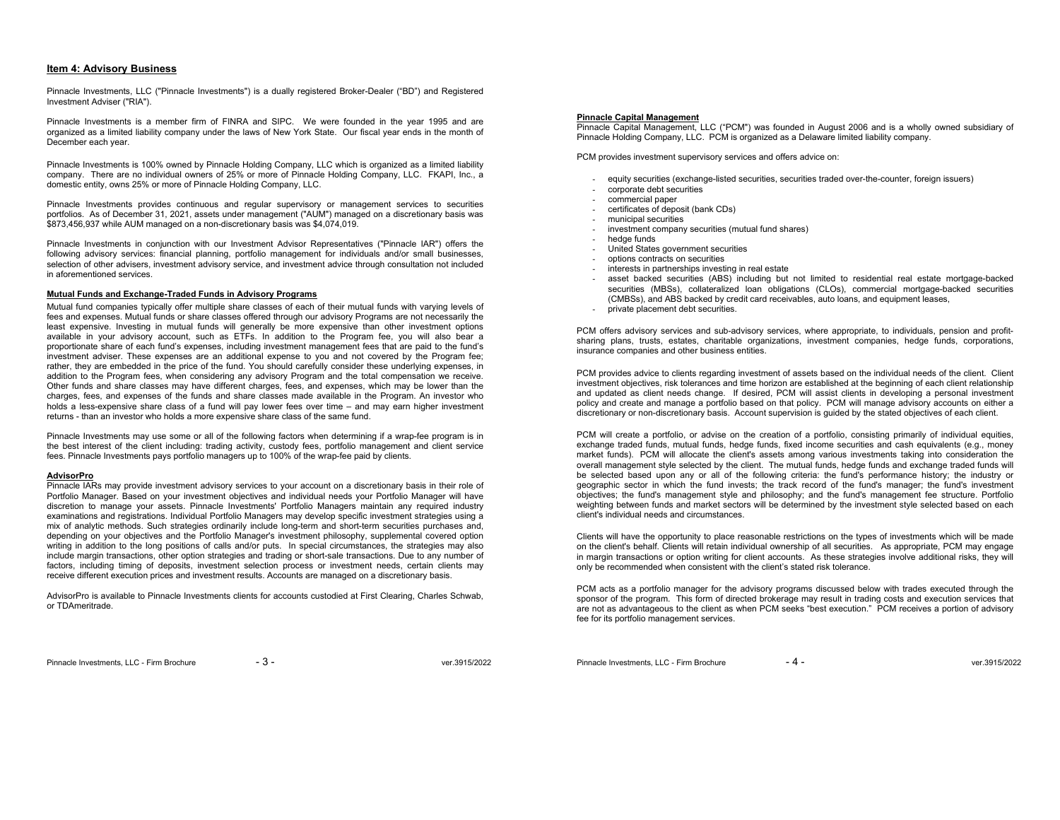# **Item 4: Advisory Business**

Pinnacle Investments, LLC ("Pinnacle Investments") is a dually registered Broker-Dealer ("BD") and Registered Investment Adviser ("RIA").

Pinnacle Investments is a member firm of FINRA and SIPC. We were founded in the year 1995 and are organized as a limited liability company under the laws of New York State. Our fiscal year ends in the month of December each year.

Pinnacle Investments is 100% owned by Pinnacle Holding Company, LLC which is organized as a limited liability company. There are no individual owners of 25% or more of Pinnacle Holding Company, LLC. FKAPI, Inc., a domestic entity, owns 25% or more of Pinnacle Holding Company, LLC.

Pinnacle Investments provides continuous and regular supervisory or management services to securities portfolios. As of December 31, 2021, assets under management ("AUM") managed on a discretionary basis was \$873,456,937 while AUM managed on a non-discretionary basis was \$4,074,019.

Pinnacle Investments in conjunction with our Investment Advisor Representatives ("Pinnacle IAR") offers the following advisory services: financial planning, portfolio management for individuals and/or small businesses, selection of other advisers, investment advisory service, and investment advice through consultation not included in aforementioned services.

# **Mutual Funds and Exchange-Traded Funds in Advisory Programs**

Mutual fund companies typically offer multiple share classes of each of their mutual funds with varying levels of fees and expenses. Mutual funds or share classes offered through our advisory Programs are not necessarily the least expensive. Investing in mutual funds will generally be more expensive than other investment options available in your advisory account, such as ETFs. In addition to the Program fee, you will also bear a proportionate share of each fund's expenses, including investment management fees that are paid to the fund's investment adviser. These expenses are an additional expense to you and not covered by the Program fee; rather, they are embedded in the price of the fund. You should carefully consider these underlying expenses, in addition to the Program fees, when considering any advisory Program and the total compensation we receive. Other funds and share classes may have different charges, fees, and expenses, which may be lower than the charges, fees, and expenses of the funds and share classes made available in the Program. An investor who holds a less-expensive share class of a fund will pay lower fees over time – and may earn higher investment returns - than an investor who holds a more expensive share class of the same fund.

Pinnacle Investments may use some or all of the following factors when determining if a wrap-fee program is in the best interest of the client including: trading activity, custody fees, portfolio management and client service fees. Pinnacle Investments pays portfolio managers up to 100% of the wrap-fee paid by clients.

# **AdvisorPro**

 Pinnacle IARs may provide investment advisory services to your account on a discretionary basis in their role of Portfolio Manager. Based on your investment objectives and individual needs your Portfolio Manager will have discretion to manage your assets. Pinnacle Investments' Portfolio Managers maintain any required industry examinations and registrations. Individual Portfolio Managers may develop specific investment strategies using a mix of analytic methods. Such strategies ordinarily include long-term and short-term securities purchases and, depending on your objectives and the Portfolio Manager's investment philosophy, supplemental covered option writing in addition to the long positions of calls and/or puts. In special circumstances, the strategies may also include margin transactions, other option strategies and trading or short-sale transactions. Due to any number of factors, including timing of deposits, investment selection process or investment needs, certain clients may receive different execution prices and investment results. Accounts are managed on a discretionary basis.

AdvisorPro is available to Pinnacle Investments clients for accounts custodied at First Clearing, Charles Schwab, or TDAmeritrade.

#### **Pinnacle Capital Management**

Pinnacle Capital Management, LLC ("PCM") was founded in August 2006 and is a wholly owned subsidiary of Pinnacle Holding Company, LLC. PCM is organized as a Delaware limited liability company.

PCM provides investment supervisory services and offers advice on:

- equity securities (exchange-listed securities, securities traded over-the-counter, foreign issuers)
- corporate debt securities
- commercial paper
- certificates of deposit (bank CDs)
- municipal securities
- investment company securities (mutual fund shares)<br>- hedge funds
- hedge funds
- United States government securities
- options contracts on securities
- interests in partnerships investing in real estate
- asset backed securities (ABS) including but not limited to residential real estate mortgage-backed securities (MBSs), collateralized loan obligations (CLOs), commercial mortgage-backed securities (CMBSs), and ABS backed by credit card receivables, auto loans, and equipment leases,
- private placement debt securities.

PCM offers advisory services and sub-advisory services, where appropriate, to individuals, pension and profitsharing plans, trusts, estates, charitable organizations, investment companies, hedge funds, corporations, insurance companies and other business entities.

PCM provides advice to clients regarding investment of assets based on the individual needs of the client. Client investment objectives, risk tolerances and time horizon are established at the beginning of each client relationship and updated as client needs change. If desired, PCM will assist clients in developing a personal investment policy and create and manage a portfolio based on that policy. PCM will manage advisory accounts on either a discretionary or non-discretionary basis. Account supervision is guided by the stated objectives of each client.

PCM will create a portfolio, or advise on the creation of a portfolio, consisting primarily of individual equities, exchange traded funds, mutual funds, hedge funds, fixed income securities and cash equivalents (e.g., money market funds). PCM will allocate the client's assets among various investments taking into consideration the overall management style selected by the client. The mutual funds, hedge funds and exchange traded funds will be selected based upon any or all of the following criteria: the fund's performance history; the industry or geographic sector in which the fund invests; the track record of the fund's manager; the fund's investment objectives; the fund's management style and philosophy; and the fund's management fee structure. Portfolio weighting between funds and market sectors will be determined by the investment style selected based on each client's individual needs and circumstances.

Clients will have the opportunity to place reasonable restrictions on the types of investments which will be made on the client's behalf. Clients will retain individual ownership of all securities. As appropriate, PCM may engage in margin transactions or option writing for client accounts. As these strategies involve additional risks, they will only be recommended when consistent with the client's stated risk tolerance.

PCM acts as a portfolio manager for the advisory programs discussed below with trades executed through the sponsor of the program. This form of directed brokerage may result in trading costs and execution services that are not as advantageous to the client as when PCM seeks "best execution." PCM receives a portion of advisory fee for its portfolio management services.

Pinnacle Investments, LLC - Firm Brochure  $-3 -$ 

Pinnacle Investments, LLC - Firm Brochure - 4 - 4 - ver.3915/2022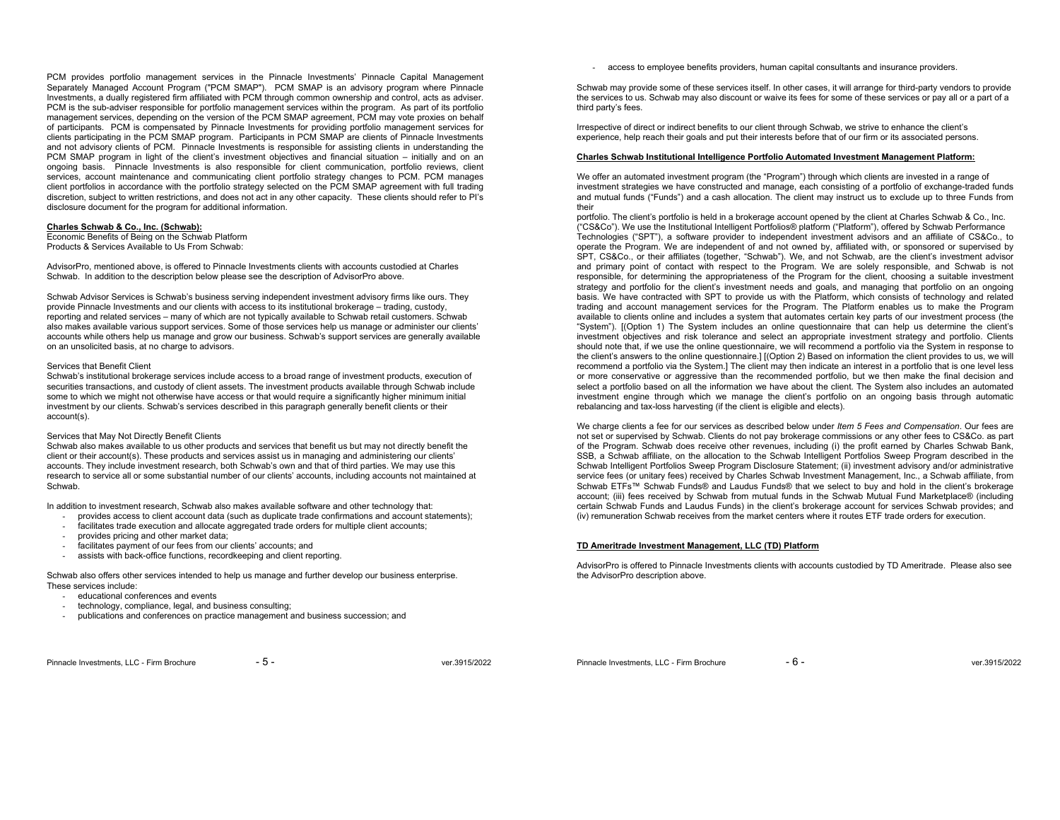PCM provides portfolio management services in the Pinnacle Investments' Pinnacle Capital Management Separately Managed Account Program ("PCM SMAP"). PCM SMAP is an advisory program where Pinnacle Investments, a dually registered firm affiliated with PCM through common ownership and control, acts as adviser. PCM is the sub-adviser responsible for portfolio management services within the program. As part of its portfolio management services, depending on the version of the PCM SMAP agreement, PCM may vote proxies on behalf of participants. PCM is compensated by Pinnacle Investments for providing portfolio management services for clients participating in the PCM SMAP program. Participants in PCM SMAP are clients of Pinnacle Investments and not advisory clients of PCM. Pinnacle Investments is responsible for assisting clients in understanding the PCM SMAP program in light of the client's investment objectives and financial situation – initially and on an ongoing basis. Pinnacle Investments is also responsible for client communication, portfolio reviews, client services, account maintenance and communicating client portfolio strategy changes to PCM. PCM manages client portfolios in accordance with the portfolio strategy selected on the PCM SMAP agreement with full trading discretion, subject to written restrictions, and does not act in any other capacity. These clients should refer to PI's disclosure document for the program for additional information.

#### **Charles Schwab & Co., Inc. (Schwab):**

Economic Benefits of Being on the Schwab Platform Products & Services Available to Us From Schwab:

AdvisorPro, mentioned above, is offered to Pinnacle Investments clients with accounts custodied at Charles Schwab. In addition to the description below please see the description of AdvisorPro above.

Schwab Advisor Services is Schwab's business serving independent investment advisory firms like ours. They provide Pinnacle Investments and our clients with access to its institutional brokerage – trading, custody, reporting and related services – many of which are not typically available to Schwab retail customers. Schwab also makes available various support services. Some of those services help us manage or administer our clients' accounts while others help us manage and grow our business. Schwab's support services are generally available on an unsolicited basis, at no charge to advisors.

# Services that Benefit Client

 Schwab's institutional brokerage services include access to a broad range of investment products, execution of securities transactions, and custody of client assets. The investment products available through Schwab include some to which we might not otherwise have access or that would require a significantly higher minimum initial investment by our clients. Schwab's services described in this paragraph generally benefit clients or their account(s).

#### Services that May Not Directly Benefit Clients

Schwab also makes available to us other products and services that benefit us but may not directly benefit the client or their account(s). These products and services assist us in managing and administering our clients' accounts. They include investment research, both Schwab's own and that of third parties. We may use this research to service all or some substantial number of our clients' accounts, including accounts not maintained at Schwab.

In addition to investment research, Schwab also makes available software and other technology that:

- provides access to client account data (such as duplicate trade confirmations and account statements);
- facilitates trade execution and allocate aggregated trade orders for multiple client accounts;
- provides pricing and other market data;
- facilitates payment of our fees from our clients' accounts; and
- assists with back-office functions, recordkeeping and client reporting.

Schwab also offers other services intended to help us manage and further develop our business enterprise. These services include:

- educational conferences and events
- technology, compliance, legal, and business consulting;
- publications and conferences on practice management and business succession; and

- access to employee benefits providers, human capital consultants and insurance providers.

Schwab may provide some of these services itself. In other cases, it will arrange for third-party vendors to provide the services to us. Schwab may also discount or waive its fees for some of these services or pay all or a part of a third party's fees.

Irrespective of direct or indirect benefits to our client through Schwab, we strive to enhance the client's experience, help reach their goals and put their interests before that of our firm or its associated persons.

# **Charles Schwab Institutional Intelligence Portfolio Automated Investment Management Platform:**

We offer an automated investment program (the "Program") through which clients are invested in a range of investment strategies we have constructed and manage, each consisting of a portfolio of exchange-traded funds and mutual funds ("Funds") and a cash allocation. The client may instruct us to exclude up to three Funds from their

 portfolio. The client's portfolio is held in a brokerage account opened by the client at Charles Schwab & Co., Inc. ("CS&Co"). We use the Institutional Intelligent Portfolios® platform ("Platform"), offered by Schwab Performance Technologies ("SPT"), a software provider to independent investment advisors and an affiliate of CS&Co., to operate the Program. We are independent of and not owned by, affiliated with, or sponsored or supervised by SPT, CS&Co., or their affiliates (together, "Schwab"). We, and not Schwab, are the client's investment advisor and primary point of contact with respect to the Program. We are solely responsible, and Schwab is not responsible, for determining the appropriateness of the Program for the client, choosing a suitable investment strategy and portfolio for the client's investment needs and goals, and managing that portfolio on an ongoing basis. We have contracted with SPT to provide us with the Platform, which consists of technology and related trading and account management services for the Program. The Platform enables us to make the Program available to clients online and includes a system that automates certain key parts of our investment process (the "System"). [(Option 1) The System includes an online questionnaire that can help us determine the client's investment objectives and risk tolerance and select an appropriate investment strategy and portfolio. Clients should note that, if we use the online questionnaire, we will recommend a portfolio via the System in response to the client's answers to the online questionnaire.] [(Option 2) Based on information the client provides to us, we will recommend a portfolio via the System.] The client may then indicate an interest in a portfolio that is one level less or more conservative or aggressive than the recommended portfolio, but we then make the final decision and select a portfolio based on all the information we have about the client. The System also includes an automated investment engine through which we manage the client's portfolio on an ongoing basis through automatic rebalancing and tax-loss harvesting (if the client is eligible and elects).

We charge clients a fee for our services as described below under *Item 5 Fees and Compensation*. Our fees are not set or supervised by Schwab. Clients do not pay brokerage commissions or any other fees to CS&Co. as part of the Program. Schwab does receive other revenues, including (i) the profit earned by Charles Schwab Bank, SSB, a Schwab affiliate, on the allocation to the Schwab Intelligent Portfolios Sweep Program described in the Schwab Intelligent Portfolios Sweep Program Disclosure Statement; (ii) investment advisory and/or administrative service fees (or unitary fees) received by Charles Schwab Investment Management, Inc., a Schwab affiliate, from Schwab ETFs™ Schwab Funds® and Laudus Funds® that we select to buy and hold in the client's brokerage account; (iii) fees received by Schwab from mutual funds in the Schwab Mutual Fund Marketplace® (including certain Schwab Funds and Laudus Funds) in the client's brokerage account for services Schwab provides; and (iv) remuneration Schwab receives from the market centers where it routes ETF trade orders for execution.

# **TD Ameritrade Investment Management, LLC (TD) Platform**

AdvisorPro is offered to Pinnacle Investments clients with accounts custodied by TD Ameritrade. Please also see the AdvisorPro description above.

Pinnacle Investments, LLC - Firm Brochure - 6 - ver.3915/2022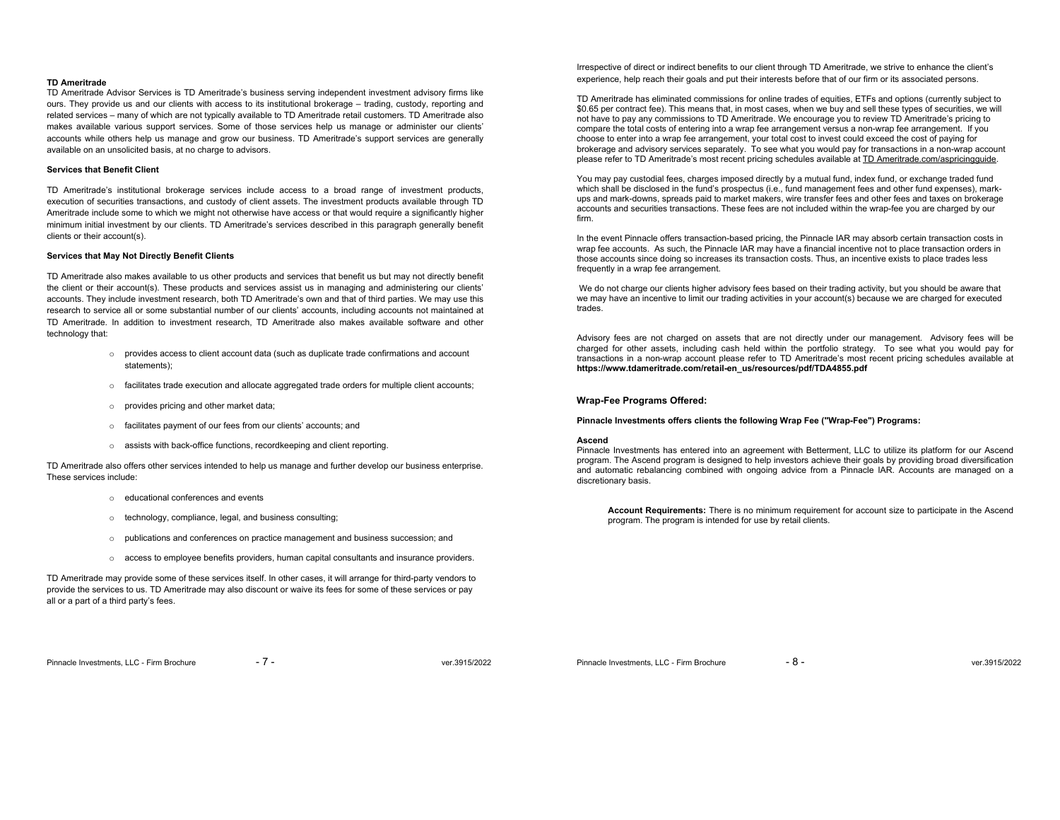### **TD Ameritrade**

 TD Ameritrade Advisor Services is TD Ameritrade's business serving independent investment advisory firms like ours. They provide us and our clients with access to its institutional brokerage – trading, custody, reporting and related services – many of which are not typically available to TD Ameritrade retail customers. TD Ameritrade also makes available various support services. Some of those services help us manage or administer our clients' accounts while others help us manage and grow our business. TD Ameritrade's support services are generally available on an unsolicited basis, at no charge to advisors.

# **Services that Benefit Client**

TD Ameritrade's institutional brokerage services include access to a broad range of investment products, execution of securities transactions, and custody of client assets. The investment products available through TD Ameritrade include some to which we might not otherwise have access or that would require a significantly higher minimum initial investment by our clients. TD Ameritrade's services described in this paragraph generally benefit clients or their account(s).

# **Services that May Not Directly Benefit Clients**

TD Ameritrade also makes available to us other products and services that benefit us but may not directly benefit the client or their account(s). These products and services assist us in managing and administering our clients' accounts. They include investment research, both TD Ameritrade's own and that of third parties. We may use this research to service all or some substantial number of our clients' accounts, including accounts not maintained at TD Ameritrade. In addition to investment research, TD Ameritrade also makes available software and other technology that:

- <sup>o</sup> provides access to client account data (such as duplicate trade confirmations and account statements);
- <sup>o</sup> facilitates trade execution and allocate aggregated trade orders for multiple client accounts;
- <sup>o</sup> provides pricing and other market data;
- <sup>o</sup> facilitates payment of our fees from our clients' accounts; and
- <sup>o</sup> assists with back-office functions, recordkeeping and client reporting.

TD Ameritrade also offers other services intended to help us manage and further develop our business enterprise. These services include:

- o educational conferences and events
- <sup>o</sup> technology, compliance, legal, and business consulting;
- <sup>o</sup> publications and conferences on practice management and business succession; and
- <sup>o</sup> access to employee benefits providers, human capital consultants and insurance providers.

TD Ameritrade may provide some of these services itself. In other cases, it will arrange for third-party vendors to provide the services to us. TD Ameritrade may also discount or waive its fees for some of these services or pay all or a part of a third party's fees.

Irrespective of direct or indirect benefits to our client through TD Ameritrade, we strive to enhance the client's experience, help reach their goals and put their interests before that of our firm or its associated persons.

TD Ameritrade has eliminated commissions for online trades of equities, ETFs and options (currently subject to \$0.65 per contract fee). This means that, in most cases, when we buy and sell these types of securities, we will not have to pay any commissions to TD Ameritrade. We encourage you to review TD Ameritrade's pricing to compare the total costs of entering into a wrap fee arrangement versus a non-wrap fee arrangement. If you choose to enter into a wrap fee arrangement, your total cost to invest could exceed the cost of paying for brokerage and advisory services separately. To see what you would pay for transactions in a non-wrap account please refer to TD Ameritrade's most recent pricing schedules available at TD Ameritrade.com/aspricingguide.

You may pay custodial fees, charges imposed directly by a mutual fund, index fund, or exchange traded fund which shall be disclosed in the fund's prospectus (i.e., fund management fees and other fund expenses), markups and mark-downs, spreads paid to market makers, wire transfer fees and other fees and taxes on brokerage accounts and securities transactions. These fees are not included within the wrap-fee you are charged by our firm.

In the event Pinnacle offers transaction-based pricing, the Pinnacle IAR may absorb certain transaction costs in wrap fee accounts. As such, the Pinnacle IAR may have a financial incentive not to place transaction orders in those accounts since doing so increases its transaction costs. Thus, an incentive exists to place trades less frequently in a wrap fee arrangement.

We do not charge our clients higher advisory fees based on their trading activity, but you should be aware that we may have an incentive to limit our trading activities in your account(s) because we are charged for executed trades.

Advisory fees are not charged on assets that are not directly under our management. Advisory fees will be charged for other assets, including cash held within the portfolio strategy. To see what you would pay for transactions in a non-wrap account please refer to TD Ameritrade's most recent pricing schedules available at **https://www.tdameritrade.com/retail-en\_us/resources/pdf/TDA4855.pdf**

# **Wrap-Fee Programs Offered:**

# **Pinnacle Investments offers clients the following Wrap Fee ("Wrap-Fee") Programs:**

#### **Ascend**

 Pinnacle Investments has entered into an agreement with Betterment, LLC to utilize its platform for our Ascend program. The Ascend program is designed to help investors achieve their goals by providing broad diversification and automatic rebalancing combined with ongoing advice from a Pinnacle IAR. Accounts are managed on a discretionary basis.

**Account Requirements:** There is no minimum requirement for account size to participate in the Ascend program. The program is intended for use by retail clients.

Pinnacle Investments, LLC - Firm Brochure  $-8 -8 -$  ver.3915/2022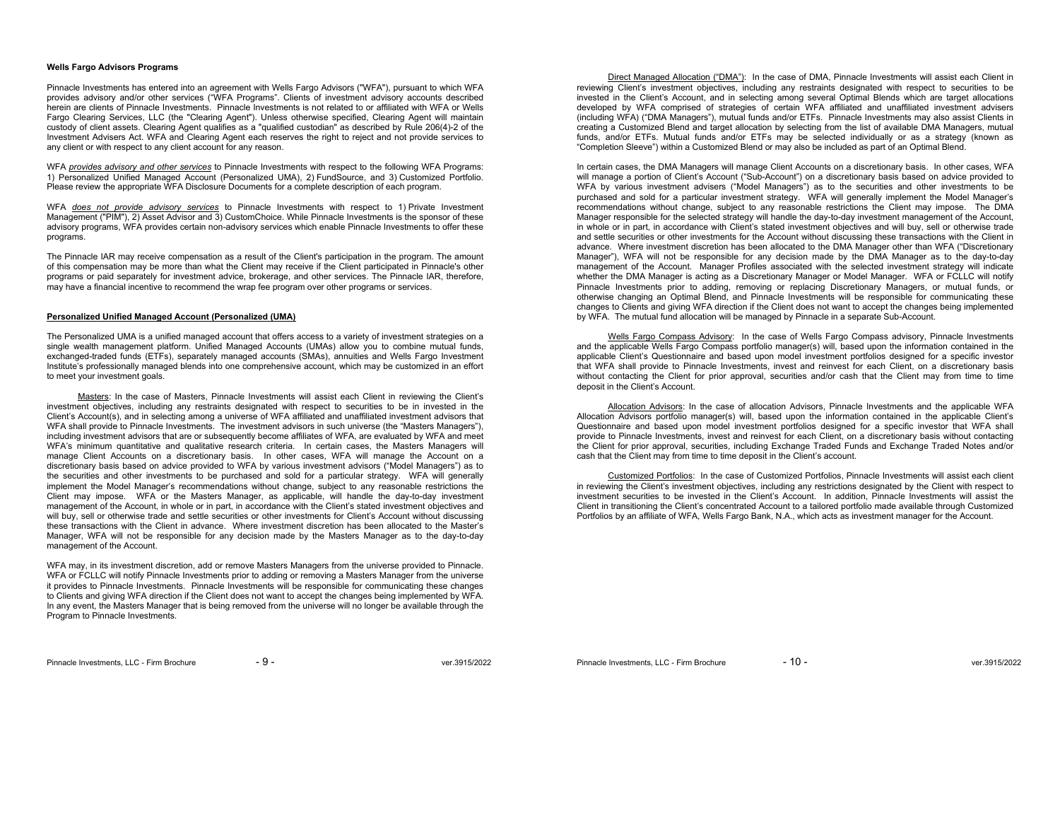# **Wells Fargo Advisors Programs**

Pinnacle Investments has entered into an agreement with Wells Fargo Advisors ("WFA"), pursuant to which WFA provides advisory and/or other services ("WFA Programs". Clients of investment advisory accounts described herein are clients of Pinnacle Investments. Pinnacle Investments is not related to or affiliated with WFA or Wells Fargo Clearing Services, LLC (the "Clearing Agent"). Unless otherwise specified, Clearing Agent will maintain custody of client assets. Clearing Agent qualifies as a "qualified custodian" as described by Rule 206(4)-2 of the Investment Advisers Act. WFA and Clearing Agent each reserves the right to reject and not provide services to any client or with respect to any client account for any reason.

WFA *provides advisory and other services* to Pinnacle Investments with respect to the following WFA Programs: 1) Personalized Unified Managed Account (Personalized UMA), 2) FundSource, and 3) Customized Portfolio. Please review the appropriate WFA Disclosure Documents for a complete description of each program.

WFA *does not provide advisory services* to Pinnacle Investments with respect to 1) Private Investment Management ("PIM"), 2) Asset Advisor and 3) CustomChoice. While Pinnacle Investments is the sponsor of these advisory programs, WFA provides certain non-advisory services which enable Pinnacle Investments to offer these programs.

The Pinnacle IAR may receive compensation as a result of the Client's participation in the program. The amount of this compensation may be more than what the Client may receive if the Client participated in Pinnacle's other programs or paid separately for investment advice, brokerage, and other services. The Pinnacle IAR, therefore, may have a financial incentive to recommend the wrap fee program over other programs or services.

# **Personalized Unified Managed Account (Personalized (UMA)**

The Personalized UMA is a unified managed account that offers access to a variety of investment strategies on a single wealth management platform. Unified Managed Accounts (UMAs) allow you to combine mutual funds, exchanged-traded funds (ETFs), separately managed accounts (SMAs), annuities and Wells Fargo Investment Institute's professionally managed blends into one comprehensive account, which may be customized in an effort to meet your investment goals.

 Masters: In the case of Masters, Pinnacle Investments will assist each Client in reviewing the Client's investment objectives, including any restraints designated with respect to securities to be in invested in the Client's Account(s), and in selecting among a universe of WFA affiliated and unaffiliated investment advisors that WFA shall provide to Pinnacle Investments. The investment advisors in such universe (the "Masters Managers"), including investment advisors that are or subsequently become affiliates of WFA, are evaluated by WFA and meet WFA's minimum quantitative and qualitative research criteria. In certain cases, the Masters Managers will manage Client Accounts on a discretionary basis. In other cases, WFA will manage the Account on a discretionary basis based on advice provided to WFA by various investment advisors ("Model Managers") as to the securities and other investments to be purchased and sold for a particular strategy. WFA will generally implement the Model Manager's recommendations without change, subject to any reasonable restrictions the Client may impose. WFA or the Masters Manager, as applicable, will handle the day-to-day investment management of the Account, in whole or in part, in accordance with the Client's stated investment objectives and will buy, sell or otherwise trade and settle securities or other investments for Client's Account without discussing these transactions with the Client in advance. Where investment discretion has been allocated to the Master's Manager, WFA will not be responsible for any decision made by the Masters Manager as to the day-to-day management of the Account.

WFA may, in its investment discretion, add or remove Masters Managers from the universe provided to Pinnacle. WFA or FCLLC will notify Pinnacle Investments prior to adding or removing a Masters Manager from the universe it provides to Pinnacle Investments. Pinnacle Investments will be responsible for communicating these changes to Clients and giving WFA direction if the Client does not want to accept the changes being implemented by WFA. In any event, the Masters Manager that is being removed from the universe will no longer be available through the Program to Pinnacle Investments.

 Direct Managed Allocation ("DMA"): In the case of DMA, Pinnacle Investments will assist each Client in reviewing Client's investment objectives, including any restraints designated with respect to securities to be invested in the Client's Account, and in selecting among several Optimal Blends which are target allocations developed by WFA comprised of strategies of certain WFA affiliated and unaffiliated investment advisers (including WFA) ("DMA Managers"), mutual funds and/or ETFs. Pinnacle Investments may also assist Clients in creating a Customized Blend and target allocation by selecting from the list of available DMA Managers, mutual funds, and/or ETFs. Mutual funds and/or ETFs may be selected individually or as a strategy (known as "Completion Sleeve") within a Customized Blend or may also be included as part of an Optimal Blend.

In certain cases, the DMA Managers will manage Client Accounts on a discretionary basis. In other cases, WFA will manage a portion of Client's Account ("Sub-Account") on a discretionary basis based on advice provided to WFA by various investment advisers ("Model Managers") as to the securities and other investments to be purchased and sold for a particular investment strategy. WFA will generally implement the Model Manager's recommendations without change, subject to any reasonable restrictions the Client may impose. The DMA Manager responsible for the selected strategy will handle the day-to-day investment management of the Account, in whole or in part, in accordance with Client's stated investment objectives and will buy, sell or otherwise trade and settle securities or other investments for the Account without discussing these transactions with the Client in advance. Where investment discretion has been allocated to the DMA Manager other than WFA ("Discretionary Manager"), WFA will not be responsible for any decision made by the DMA Manager as to the day-to-day management of the Account. Manager Profiles associated with the selected investment strategy will indicate whether the DMA Manager is acting as a Discretionary Manager or Model Manager. WFA or FCLLC will notify Pinnacle Investments prior to adding, removing or replacing Discretionary Managers, or mutual funds, or otherwise changing an Optimal Blend, and Pinnacle Investments will be responsible for communicating these changes to Clients and giving WFA direction if the Client does not want to accept the changes being implemented by WFA. The mutual fund allocation will be managed by Pinnacle in a separate Sub-Account.

Wells Fargo Compass Advisory: In the case of Wells Fargo Compass advisory, Pinnacle Investments and the applicable Wells Fargo Compass portfolio manager(s) will, based upon the information contained in the applicable Client's Questionnaire and based upon model investment portfolios designed for a specific investor that WFA shall provide to Pinnacle Investments, invest and reinvest for each Client, on a discretionary basis without contacting the Client for prior approval, securities and/or cash that the Client may from time to time deposit in the Client's Account.

 Allocation Advisors: In the case of allocation Advisors, Pinnacle Investments and the applicable WFA Allocation Advisors portfolio manager(s) will, based upon the information contained in the applicable Client's Questionnaire and based upon model investment portfolios designed for a specific investor that WFA shall provide to Pinnacle Investments, invest and reinvest for each Client, on a discretionary basis without contacting the Client for prior approval, securities, including Exchange Traded Funds and Exchange Traded Notes and/or cash that the Client may from time to time deposit in the Client's account.

 Customized Portfolios: In the case of Customized Portfolios, Pinnacle Investments will assist each client in reviewing the Client's investment objectives, including any restrictions designated by the Client with respect to investment securities to be invested in the Client's Account. In addition, Pinnacle Investments will assist the Client in transitioning the Client's concentrated Account to a tailored portfolio made available through Customized Portfolios by an affiliate of WFA, Wells Fargo Bank, N.A., which acts as investment manager for the Account.

Pinnacle Investments, LLC - Firm Brochure  $-9 -$ 

Pinnacle Investments, LLC - Firm Brochure  $-10 -$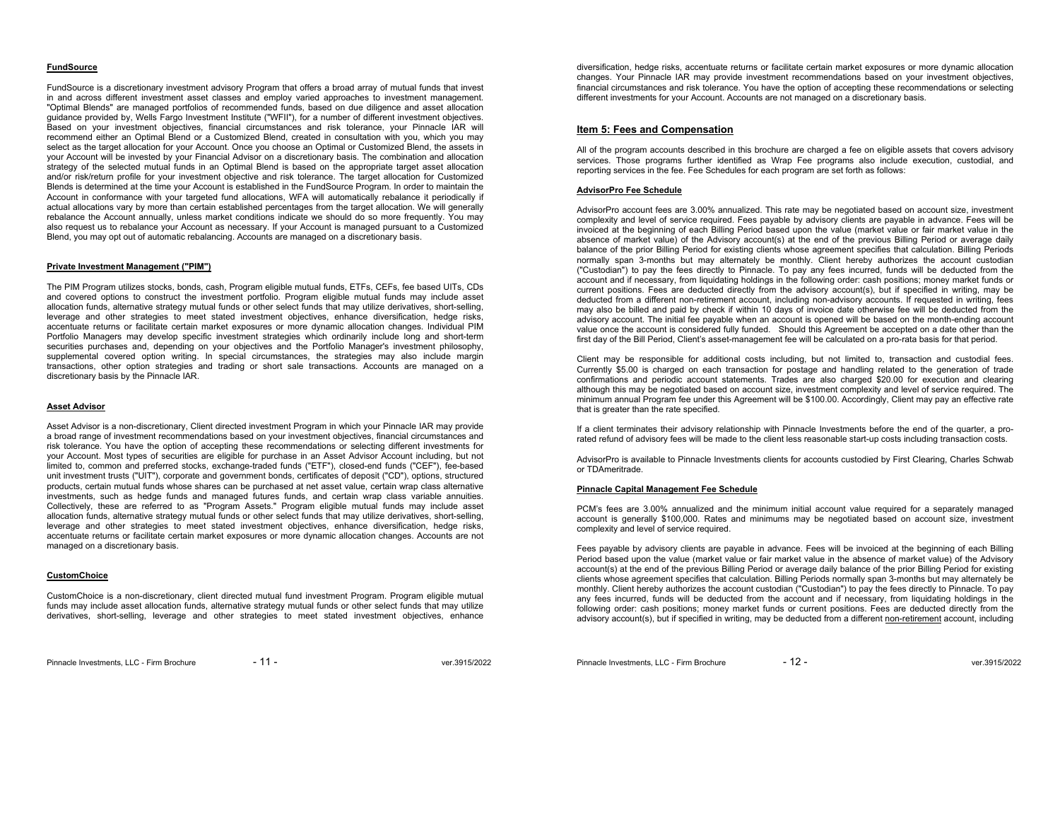#### **FundSource**

FundSource is a discretionary investment advisory Program that offers a broad array of mutual funds that invest in and across different investment asset classes and employ varied approaches to investment management. "Optimal Blends" are managed portfolios of recommended funds, based on due diligence and asset allocation guidance provided by, Wells Fargo Investment Institute ("WFII"), for a number of different investment objectives. Based on your investment objectives, financial circumstances and risk tolerance, your Pinnacle IAR will recommend either an Optimal Blend or a Customized Blend, created in consultation with you, which you may select as the target allocation for your Account. Once you choose an Optimal or Customized Blend, the assets in your Account will be invested by your Financial Advisor on a discretionary basis. The combination and allocation strategy of the selected mutual funds in an Optimal Blend is based on the appropriate target asset allocation and/or risk/return profile for your investment objective and risk tolerance. The target allocation for Customized Blends is determined at the time your Account is established in the FundSource Program. In order to maintain the Account in conformance with your targeted fund allocations, WFA will automatically rebalance it periodically if actual allocations vary by more than certain established percentages from the target allocation. We will generally rebalance the Account annually, unless market conditions indicate we should do so more frequently. You may also request us to rebalance your Account as necessary. If your Account is managed pursuant to a Customized Blend, you may opt out of automatic rebalancing. Accounts are managed on a discretionary basis.

# **Private Investment Management ("PIM")**

The PIM Program utilizes stocks, bonds, cash, Program eligible mutual funds, ETFs, CEFs, fee based UITs, CDs and covered options to construct the investment portfolio. Program eligible mutual funds may include asset allocation funds, alternative strategy mutual funds or other select funds that may utilize derivatives, short-selling, leverage and other strategies to meet stated investment objectives, enhance diversification, hedge risks, accentuate returns or facilitate certain market exposures or more dynamic allocation changes. Individual PIM Portfolio Managers may develop specific investment strategies which ordinarily include long and short-term securities purchases and, depending on your objectives and the Portfolio Manager's investment philosophy, supplemental covered option writing. In special circumstances, the strategies may also include margin transactions, other option strategies and trading or short sale transactions. Accounts are managed on a discretionary basis by the Pinnacle IAR.

#### **Asset Advisor**

Asset Advisor is a non-discretionary, Client directed investment Program in which your Pinnacle IAR may provide a broad range of investment recommendations based on your investment objectives, financial circumstances and risk tolerance. You have the option of accepting these recommendations or selecting different investments for your Account. Most types of securities are eligible for purchase in an Asset Advisor Account including, but not limited to, common and preferred stocks, exchange-traded funds ("ETF"), closed-end funds ("CEF"), fee-based unit investment trusts ("UIT"), corporate and government bonds, certificates of deposit ("CD"), options, structured products, certain mutual funds whose shares can be purchased at net asset value, certain wrap class alternative investments, such as hedge funds and managed futures funds, and certain wrap class variable annuities. Collectively, these are referred to as "Program Assets." Program eligible mutual funds may include asset allocation funds, alternative strategy mutual funds or other select funds that may utilize derivatives, short-selling, leverage and other strategies to meet stated investment objectives, enhance diversification, hedge risks, accentuate returns or facilitate certain market exposures or more dynamic allocation changes. Accounts are not managed on a discretionary basis.

#### **CustomChoice**

CustomChoice is a non-discretionary, client directed mutual fund investment Program. Program eligible mutual funds may include asset allocation funds, alternative strategy mutual funds or other select funds that may utilize derivatives, short-selling, leverage and other strategies to meet stated investment objectives, enhance

Pinnacle Investments, LLC - Firm Brochure - 11 - 11 - ver.3915/2022

diversification, hedge risks, accentuate returns or facilitate certain market exposures or more dynamic allocation changes. Your Pinnacle IAR may provide investment recommendations based on your investment objectives, financial circumstances and risk tolerance. You have the option of accepting these recommendations or selecting different investments for your Account. Accounts are not managed on a discretionary basis.

# **Item 5: Fees and Compensation**

All of the program accounts described in this brochure are charged a fee on eligible assets that covers advisory services. Those programs further identified as Wrap Fee programs also include execution, custodial, and reporting services in the fee. Fee Schedules for each program are set forth as follows:

#### **AdvisorPro Fee Schedule**

AdvisorPro account fees are 3.00% annualized. This rate may be negotiated based on account size, investment complexity and level of service required. Fees payable by advisory clients are payable in advance. Fees will be invoiced at the beginning of each Billing Period based upon the value (market value or fair market value in the absence of market value) of the Advisory account(s) at the end of the previous Billing Period or average daily balance of the prior Billing Period for existing clients whose agreement specifies that calculation. Billing Periods normally span 3-months but may alternately be monthly. Client hereby authorizes the account custodian ("Custodian") to pay the fees directly to Pinnacle. To pay any fees incurred, funds will be deducted from the account and if necessary, from liquidating holdings in the following order: cash positions; money market funds or current positions. Fees are deducted directly from the advisory account(s), but if specified in writing, may be deducted from a different non-retirement account, including non-advisory accounts. If requested in writing, fees may also be billed and paid by check if within 10 days of invoice date otherwise fee will be deducted from the advisory account. The initial fee payable when an account is opened will be based on the month-ending account value once the account is considered fully funded. Should this Agreement be accepted on a date other than the first day of the Bill Period, Client's asset-management fee will be calculated on a pro-rata basis for that period.

Client may be responsible for additional costs including, but not limited to, transaction and custodial fees. Currently \$5.00 is charged on each transaction for postage and handling related to the generation of trade confirmations and periodic account statements. Trades are also charged \$20.00 for execution and clearing although this may be negotiated based on account size, investment complexity and level of service required. The minimum annual Program fee under this Agreement will be \$100.00. Accordingly, Client may pay an effective rate that is greater than the rate specified.

If a client terminates their advisory relationship with Pinnacle Investments before the end of the quarter, a prorated refund of advisory fees will be made to the client less reasonable start-up costs including transaction costs.

AdvisorPro is available to Pinnacle Investments clients for accounts custodied by First Clearing, Charles Schwab or TDAmeritrade.

### **Pinnacle Capital Management Fee Schedule**

PCM's fees are 3.00% annualized and the minimum initial account value required for a separately managed account is generally \$100,000. Rates and minimums may be negotiated based on account size, investment complexity and level of service required.

Fees payable by advisory clients are payable in advance. Fees will be invoiced at the beginning of each Billing Period based upon the value (market value or fair market value in the absence of market value) of the Advisory account(s) at the end of the previous Billing Period or average daily balance of the prior Billing Period for existing clients whose agreement specifies that calculation. Billing Periods normally span 3-months but may alternately be monthly. Client hereby authorizes the account custodian ("Custodian") to pay the fees directly to Pinnacle. To pay any fees incurred, funds will be deducted from the account and if necessary, from liquidating holdings in the following order: cash positions; money market funds or current positions. Fees are deducted directly from the advisory account(s), but if specified in writing, may be deducted from a different non-retirement account, including

Pinnacle Investments, LLC - Firm Brochure - 12 - ver.3915/2022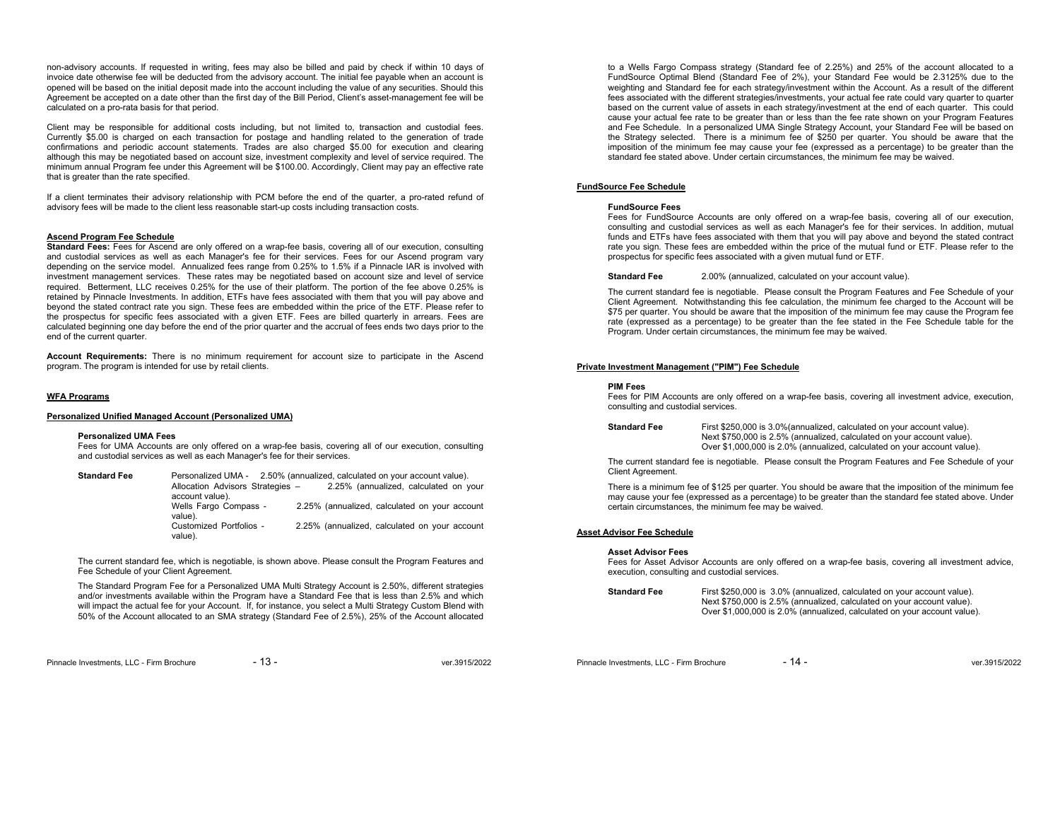non-advisory accounts. If requested in writing, fees may also be billed and paid by check if within 10 days of invoice date otherwise fee will be deducted from the advisory account. The initial fee payable when an account is opened will be based on the initial deposit made into the account including the value of any securities. Should this Agreement be accepted on a date other than the first day of the Bill Period, Client's asset-management fee will be calculated on a pro-rata basis for that period.

Client may be responsible for additional costs including, but not limited to, transaction and custodial fees. Currently \$5.00 is charged on each transaction for postage and handling related to the generation of trade confirmations and periodic account statements. Trades are also charged \$5.00 for execution and clearing although this may be negotiated based on account size, investment complexity and level of service required. The minimum annual Program fee under this Agreement will be \$100.00. Accordingly, Client may pay an effective rate that is greater than the rate specified.

If a client terminates their advisory relationship with PCM before the end of the quarter, a pro-rated refund of advisory fees will be made to the client less reasonable start-up costs including transaction costs.

# **Ascend Program Fee Schedule**

**Standard Fees:** Fees for Ascend are only offered on a wrap-fee basis, covering all of our execution, consulting and custodial services as well as each Manager's fee for their services. Fees for our Ascend program vary depending on the service model. Annualized fees range from 0.25% to 1.5% if a Pinnacle IAR is involved with investment management services. These rates may be negotiated based on account size and level of service required. Betterment, LLC receives 0.25% for the use of their platform. The portion of the fee above 0.25% is retained by Pinnacle Investments. In addition, ETFs have fees associated with them that you will pay above and beyond the stated contract rate you sign. These fees are embedded within the price of the ETF. Please refer to the prospectus for specific fees associated with a given ETF. Fees are billed quarterly in arrears. Fees are calculated beginning one day before the end of the prior quarter and the accrual of fees ends two days prior to the end of the current quarter.

**Account Requirements:** There is no minimum requirement for account size to participate in the Ascend program. The program is intended for use by retail clients.

### **WFA Programs**

# **Personalized Unified Managed Account (Personalized UMA)**

#### **Personalized UMA Fees**

 Fees for UMA Accounts are only offered on a wrap-fee basis, covering all of our execution, consulting and custodial services as well as each Manager's fee for their services.

**Standard Fee** Personalized UMA - 2.50% (annualized, calculated on your account value).<br>Allocation Advisors Strategies - 2.25% (annualized, calculated on v 2.25% (annualized, calculated on your account value).<br>Wells Fargo Compass -2.25% (annualized, calculated on your account value). Customized Portfolios - 2.25% (annualized, calculated on your account value).

The current standard fee, which is negotiable, is shown above. Please consult the Program Features and Fee Schedule of your Client Agreement.

The Standard Program Fee for a Personalized UMA Multi Strategy Account is 2.50%, different strategies and/or investments available within the Program have a Standard Fee that is less than 2.5% and which will impact the actual fee for your Account. If, for instance, you select a Multi Strategy Custom Blend with 50% of the Account allocated to an SMA strategy (Standard Fee of 2.5%), 25% of the Account allocated

Pinnacle Investments, LLC - Firm Brochure - 13 - 13 - ver.3915/2022

to a Wells Fargo Compass strategy (Standard fee of 2.25%) and 25% of the account allocated to a FundSource Optimal Blend (Standard Fee of 2%), your Standard Fee would be 2.3125% due to the weighting and Standard fee for each strategy/investment within the Account. As a result of the different fees associated with the different strategies/investments, your actual fee rate could vary quarter to quarter based on the current value of assets in each strategy/investment at the end of each quarter. This could cause your actual fee rate to be greater than or less than the fee rate shown on your Program Features and Fee Schedule. In a personalized UMA Single Strategy Account, your Standard Fee will be based on the Strategy selected. There is a minimum fee of \$250 per quarter. You should be aware that the imposition of the minimum fee may cause your fee (expressed as a percentage) to be greater than the standard fee stated above. Under certain circumstances, the minimum fee may be waived.

# **FundSource Fee Schedule**

# **FundSource Fees**

 Fees for FundSource Accounts are only offered on a wrap-fee basis, covering all of our execution, consulting and custodial services as well as each Manager's fee for their services. In addition, mutual funds and ETFs have fees associated with them that you will pay above and beyond the stated contract rate you sign. These fees are embedded within the price of the mutual fund or ETF. Please refer to the prospectus for specific fees associated with a given mutual fund or ETF.

**Standard Fee** 2.00% (annualized, calculated on your account value).

The current standard fee is negotiable. Please consult the Program Features and Fee Schedule of your Client Agreement. Notwithstanding this fee calculation, the minimum fee charged to the Account will be \$75 per quarter. You should be aware that the imposition of the minimum fee may cause the Program fee rate (expressed as a percentage) to be greater than the fee stated in the Fee Schedule table for the Program. Under certain circumstances, the minimum fee may be waived.

### **Private Investment Management ("PIM") Fee Schedule**

#### **PIM Fees**

 Fees for PIM Accounts are only offered on a wrap-fee basis, covering all investment advice, execution, consulting and custodial services.

**Standard Fee** First \$250,000 is 3.0%(annualized, calculated on your account value). Next \$750,000 is 2.5% (annualized, calculated on your account value). Over \$1,000,000 is 2.0% (annualized, calculated on your account value).

The current standard fee is negotiable. Please consult the Program Features and Fee Schedule of your Client Agreement.

There is a minimum fee of \$125 per quarter. You should be aware that the imposition of the minimum fee may cause your fee (expressed as a percentage) to be greater than the standard fee stated above. Under certain circumstances, the minimum fee may be waived.

# **Asset Advisor Fee Schedule**

#### **Asset Advisor Fees**

 Fees for Asset Advisor Accounts are only offered on a wrap-fee basis, covering all investment advice, execution, consulting and custodial services.

**Standard Fee** First \$250,000 is 3.0% (annualized, calculated on your account value). Next \$750,000 is 2.5% (annualized, calculated on your account value). Over \$1,000,000 is 2.0% (annualized, calculated on your account value).

Pinnacle Investments, LLC - Firm Brochure  $-14 -$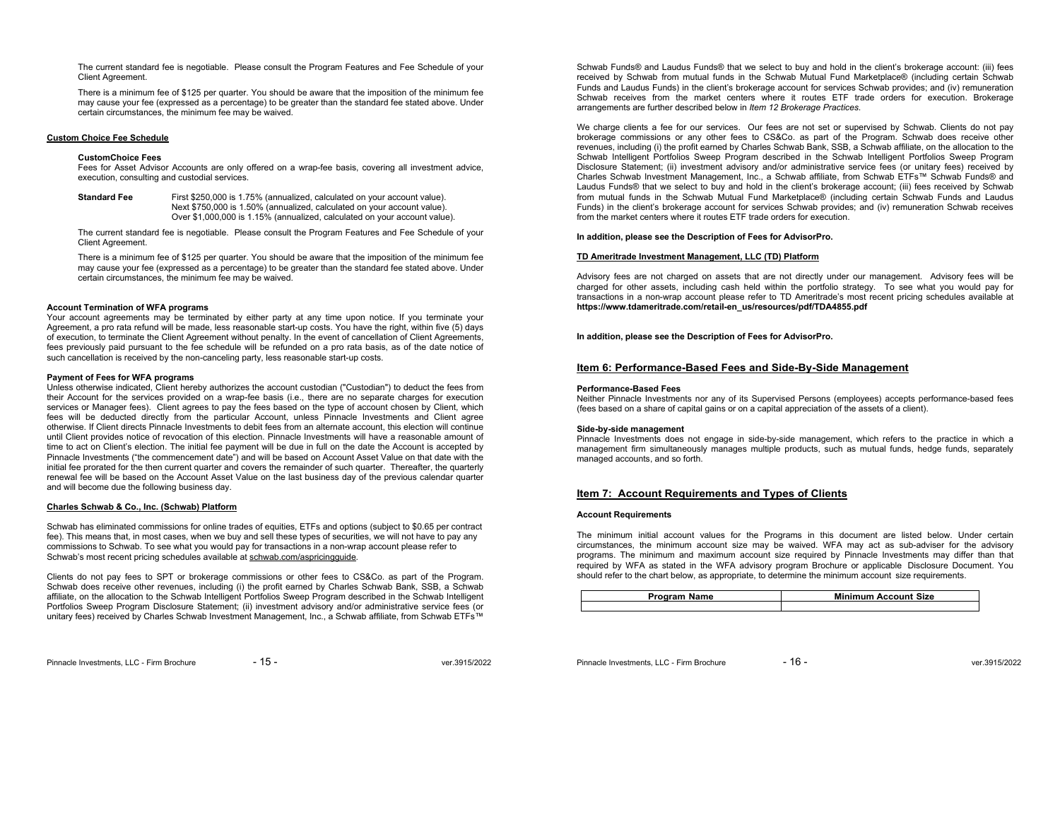The current standard fee is negotiable. Please consult the Program Features and Fee Schedule of your Client Agreement.

There is a minimum fee of \$125 per quarter. You should be aware that the imposition of the minimum fee may cause your fee (expressed as a percentage) to be greater than the standard fee stated above. Under certain circumstances, the minimum fee may be waived.

# **Custom Choice Fee Schedule**

#### **CustomChoice Fees**

 Fees for Asset Advisor Accounts are only offered on a wrap-fee basis, covering all investment advice, execution, consulting and custodial services.

**Standard Fee** First \$250,000 is 1.75% (annualized, calculated on your account value). Next \$750,000 is 1.50% (annualized, calculated on your account value). Over \$1,000,000 is 1.15% (annualized, calculated on your account value).

The current standard fee is negotiable. Please consult the Program Features and Fee Schedule of your Client Agreement.

There is a minimum fee of \$125 per quarter. You should be aware that the imposition of the minimum fee may cause your fee (expressed as a percentage) to be greater than the standard fee stated above. Under certain circumstances, the minimum fee may be waived.

# **Account Termination of WFA programs**

Your account agreements may be terminated by either party at any time upon notice. If you terminate your Agreement, a pro rata refund will be made, less reasonable start-up costs. You have the right, within five (5) days of execution, to terminate the Client Agreement without penalty. In the event of cancellation of Client Agreements, fees previously paid pursuant to the fee schedule will be refunded on a pro rata basis, as of the date notice of such cancellation is received by the non-canceling party, less reasonable start-up costs.

# **Payment of Fees for WFA programs**

Unless otherwise indicated, Client hereby authorizes the account custodian ("Custodian") to deduct the fees from their Account for the services provided on a wrap-fee basis (i.e., there are no separate charges for execution services or Manager fees). Client agrees to pay the fees based on the type of account chosen by Client, which fees will be deducted directly from the particular Account, unless Pinnacle Investments and Client agree otherwise. If Client directs Pinnacle Investments to debit fees from an alternate account, this election will continue until Client provides notice of revocation of this election. Pinnacle Investments will have a reasonable amount of time to act on Client's election. The initial fee payment will be due in full on the date the Account is accepted by Pinnacle Investments ("the commencement date") and will be based on Account Asset Value on that date with the initial fee prorated for the then current quarter and covers the remainder of such quarter. Thereafter, the quarterly renewal fee will be based on the Account Asset Value on the last business day of the previous calendar quarter and will become due the following business day.

# **Charles Schwab & Co., Inc. (Schwab) Platform**

Schwab has eliminated commissions for online trades of equities, ETFs and options (subject to \$0.65 per contract fee). This means that, in most cases, when we buy and sell these types of securities, we will not have to pay any commissions to Schwab. To see what you would pay for transactions in a non-wrap account please refer to Schwab's most recent pricing schedules available at schwab.com/aspricingguide.

Clients do not pay fees to SPT or brokerage commissions or other fees to CS&Co. as part of the Program. Schwab does receive other revenues, including (i) the profit earned by Charles Schwab Bank, SSB, a Schwab affiliate, on the allocation to the Schwab Intelligent Portfolios Sweep Program described in the Schwab Intelligent Portfolios Sweep Program Disclosure Statement; (ii) investment advisory and/or administrative service fees (or unitary fees) received by Charles Schwab Investment Management, Inc., a Schwab affiliate, from Schwab ETFs™

Pinnacle Investments, LLC - Firm Brochure  $-15 -$ 

Schwab Funds® and Laudus Funds® that we select to buy and hold in the client's brokerage account: (iii) fees received by Schwab from mutual funds in the Schwab Mutual Fund Marketplace® (including certain Schwab Funds and Laudus Funds) in the client's brokerage account for services Schwab provides; and (iv) remuneration Schwab receives from the market centers where it routes ETF trade orders for execution. Brokerage arrangements are further described below in *Item 12 Brokerage Practices*.

We charge clients a fee for our services. Our fees are not set or supervised by Schwab. Clients do not pay brokerage commissions or any other fees to CS&Co. as part of the Program. Schwab does receive other revenues, including (i) the profit earned by Charles Schwab Bank, SSB, a Schwab affiliate, on the allocation to the Schwab Intelligent Portfolios Sweep Program described in the Schwab Intelligent Portfolios Sweep Program Disclosure Statement; (ii) investment advisory and/or administrative service fees (or unitary fees) received by Charles Schwab Investment Management, Inc., a Schwab affiliate, from Schwab ETFs™ Schwab Funds® and Laudus Funds® that we select to buy and hold in the client's brokerage account; (iii) fees received by Schwab from mutual funds in the Schwab Mutual Fund Marketplace® (including certain Schwab Funds and Laudus Funds) in the client's brokerage account for services Schwab provides; and (iv) remuneration Schwab receives from the market centers where it routes ETF trade orders for execution.

# **In addition, please see the Description of Fees for AdvisorPro.**

# **TD Ameritrade Investment Management, LLC (TD) Platform**

Advisory fees are not charged on assets that are not directly under our management. Advisory fees will be charged for other assets, including cash held within the portfolio strategy. To see what you would pay for transactions in a non-wrap account please refer to TD Ameritrade's most recent pricing schedules available at **https://www.tdameritrade.com/retail-en\_us/resources/pdf/TDA4855.pdf** 

**In addition, please see the Description of Fees for AdvisorPro.** 

# **Item 6: Performance-Based Fees and Side-By-Side Management**

# **Performance-Based Fees**

 Neither Pinnacle Investments nor any of its Supervised Persons (employees) accepts performance-based fees (fees based on a share of capital gains or on a capital appreciation of the assets of a client).

### **Side-by-side management**

Pinnacle Investments does not engage in side-by-side management, which refers to the practice in which a management firm simultaneously manages multiple products, such as mutual funds, hedge funds, separately managed accounts, and so forth.

# **Item 7: Account Requirements and Types of Clients**

# **Account Requirements**

The minimum initial account values for the Programs in this document are listed below. Under certain circumstances, the minimum account size may be waived. WFA may act as sub-adviser for the advisory programs. The minimum and maximum account size required by Pinnacle Investments may differ than that required by WFA as stated in the WFA advisory program Brochure or applicable Disclosure Document. You should refer to the chart below, as appropriate, to determine the minimum account size requirements.

| <b>Program Name</b> | <b>Minimum Account Size</b> |
|---------------------|-----------------------------|
|                     |                             |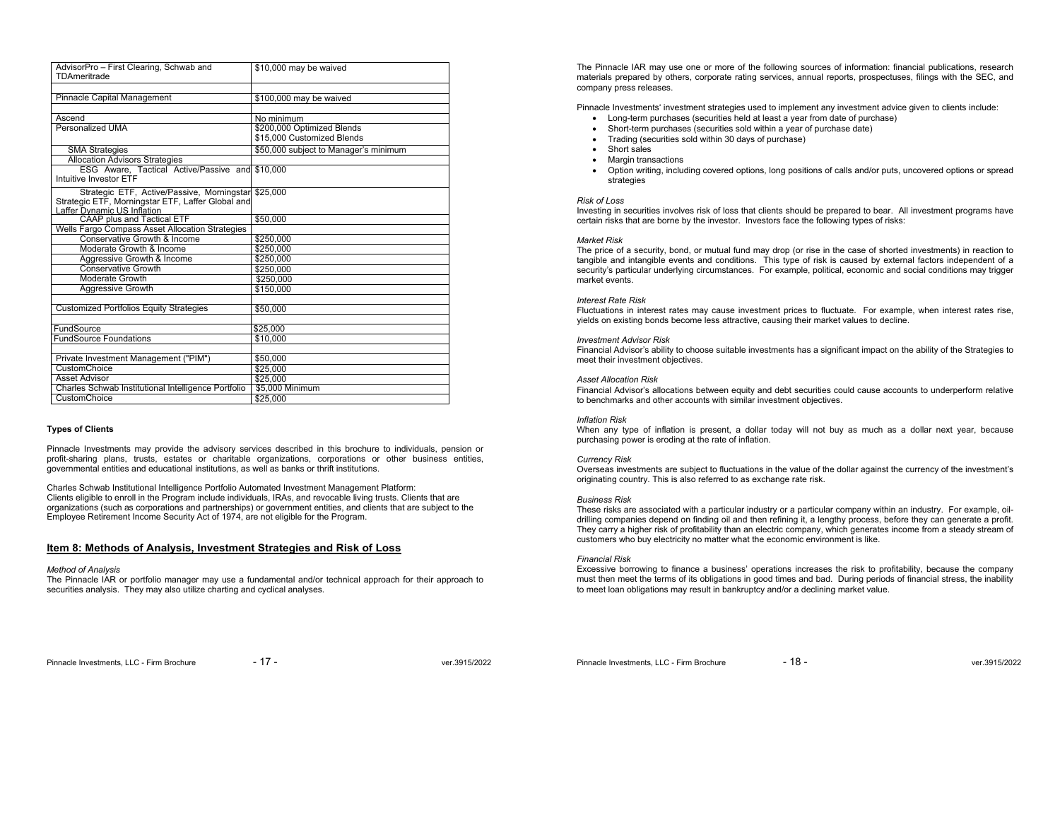| AdvisorPro - First Clearing, Schwab and<br>TDAmeritrade | \$10,000 may be waived                |
|---------------------------------------------------------|---------------------------------------|
|                                                         |                                       |
| Pinnacle Capital Management                             | \$100,000 may be waived               |
|                                                         |                                       |
| Ascend                                                  | No minimum                            |
| Personalized UMA                                        | \$200,000 Optimized Blends            |
|                                                         | \$15,000 Customized Blends            |
| <b>SMA Strategies</b>                                   | \$50,000 subject to Manager's minimum |
| <b>Allocation Advisors Strategies</b>                   |                                       |
| ESG Aware. Tactical Active/Passive and                  | \$10,000                              |
| Intuitive Investor ETF                                  |                                       |
| Strategic ETF, Active/Passive, Morningstar \$25,000     |                                       |
| Strategic ETF, Morningstar ETF, Laffer Global and       |                                       |
| Laffer Dynamic US Inflation                             |                                       |
| <b>CAAP plus and Tactical ETF</b>                       | \$50,000                              |
| Wells Fargo Compass Asset Allocation Strategies         |                                       |
| Conservative Growth & Income                            | \$250,000                             |
| Moderate Growth & Income                                | \$250,000                             |
| Aggressive Growth & Income                              | \$250.000                             |
| <b>Conservative Growth</b>                              | \$250.000                             |
| Moderate Growth                                         | \$250,000                             |
| <b>Aggressive Growth</b>                                | \$150,000                             |
|                                                         |                                       |
| <b>Customized Portfolios Equity Strategies</b>          | \$50,000                              |
| FundSource                                              | \$25,000                              |
| <b>FundSource Foundations</b>                           | \$10,000                              |
|                                                         |                                       |
| Private Investment Management ("PIM")                   | \$50,000                              |
| CustomChoice                                            | \$25,000                              |
| Asset Advisor                                           | \$25,000                              |
| Charles Schwab Institutional Intelligence Portfolio     | \$5,000 Minimum                       |
| CustomChoice                                            | \$25,000                              |

# **Types of Clients**

Pinnacle Investments may provide the advisory services described in this brochure to individuals, pension or profit-sharing plans, trusts, estates or charitable organizations, corporations or other business entities, governmental entities and educational institutions, as well as banks or thrift institutions.

Charles Schwab Institutional Intelligence Portfolio Automated Investment Management Platform: Clients eligible to enroll in the Program include individuals, IRAs, and revocable living trusts. Clients that are organizations (such as corporations and partnerships) or government entities, and clients that are subject to the Employee Retirement Income Security Act of 1974, are not eligible for the Program.

# **Item 8: Methods of Analysis, Investment Strategies and Risk of Loss**

#### *Method of Analysis*

The Pinnacle IAR or portfolio manager may use a fundamental and/or technical approach for their approach to securities analysis. They may also utilize charting and cyclical analyses.

The Pinnacle IAR may use one or more of the following sources of information: financial publications, research materials prepared by others, corporate rating services, annual reports, prospectuses, filings with the SEC, and company press releases.

Pinnacle Investments' investment strategies used to implement any investment advice given to clients include:

- Long-term purchases (securities held at least a year from date of purchase)
- Short-term purchases (securities sold within a year of purchase date)
- Trading (securities sold within 30 days of purchase)
- Short sales
- Margin transactions
- Option writing, including covered options, long positions of calls and/or puts, uncovered options or spread strategies

# *Risk of Loss*

 Investing in securities involves risk of loss that clients should be prepared to bear. All investment programs have certain risks that are borne by the investor. Investors face the following types of risks:

#### *Market Risk*

 The price of a security, bond, or mutual fund may drop (or rise in the case of shorted investments) in reaction to tangible and intangible events and conditions. This type of risk is caused by external factors independent of a security's particular underlying circumstances. For example, political, economic and social conditions may trigger market events.

#### *Interest Rate Risk*

 Fluctuations in interest rates may cause investment prices to fluctuate. For example, when interest rates rise, yields on existing bonds become less attractive, causing their market values to decline.

#### *Investment Advisor Risk*

 Financial Advisor's ability to choose suitable investments has a significant impact on the ability of the Strategies to meet their investment objectives.

#### *Asset Allocation Risk*

 Financial Advisor's allocations between equity and debt securities could cause accounts to underperform relative to benchmarks and other accounts with similar investment objectives.

#### *Inflation Risk*

 When any type of inflation is present, a dollar today will not buy as much as a dollar next year, because purchasing power is eroding at the rate of inflation.

#### *Currency Risk*

Overseas investments are subject to fluctuations in the value of the dollar against the currency of the investment's originating country. This is also referred to as exchange rate risk.

#### *Business Risk*

 These risks are associated with a particular industry or a particular company within an industry. For example, oildrilling companies depend on finding oil and then refining it, a lengthy process, before they can generate a profit. They carry a higher risk of profitability than an electric company, which generates income from a steady stream of customers who buy electricity no matter what the economic environment is like.

#### *Financial Risk*

 Excessive borrowing to finance a business' operations increases the risk to profitability, because the company must then meet the terms of its obligations in good times and bad. During periods of financial stress, the inability to meet loan obligations may result in bankruptcy and/or a declining market value.

Pinnacle Investments, LLC - Firm Brochure - 18 - 18 - ver.3915/2022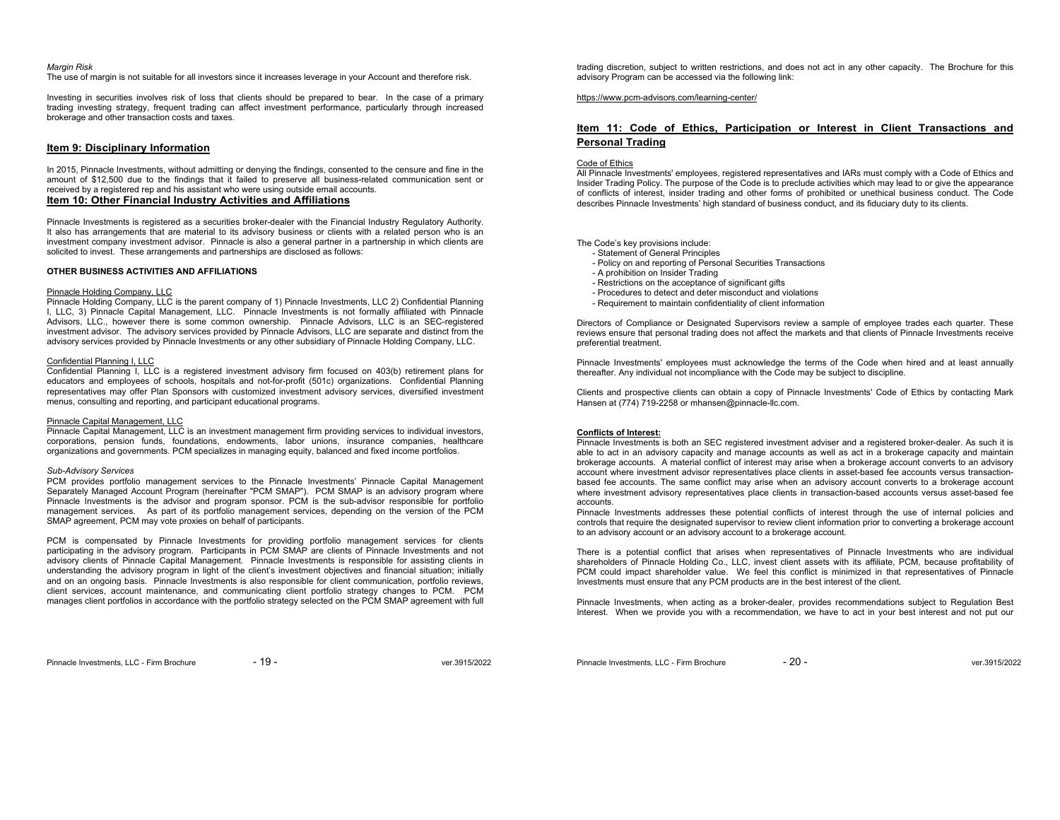#### *Margin Risk*

The use of margin is not suitable for all investors since it increases leverage in your Account and therefore risk.

Investing in securities involves risk of loss that clients should be prepared to bear. In the case of a primary trading investing strategy, frequent trading can affect investment performance, particularly through increased brokerage and other transaction costs and taxes.

# **Item 9: Disciplinary Information**

In 2015, Pinnacle Investments, without admitting or denying the findings, consented to the censure and fine in the amount of \$12,500 due to the findings that it failed to preserve all business-related communication sent or received by a registered rep and his assistant who were using outside email accounts. **Item 10: Other Financial Industry Activities and Affiliations** 

Pinnacle Investments is registered as a securities broker-dealer with the Financial Industry Regulatory Authority. It also has arrangements that are material to its advisory business or clients with a related person who is an investment company investment advisor. Pinnacle is also a general partner in a partnership in which clients are solicited to invest. These arrangements and partnerships are disclosed as follows:

# **OTHER BUSINESS ACTIVITIES AND AFFILIATIONS**

# Pinnacle Holding Company, LLC

Pinnacle Holding Company, LLC is the parent company of 1) Pinnacle Investments, LLC 2) Confidential Planning I, LLC, 3) Pinnacle Capital Management, LLC. Pinnacle Investments is not formally affiliated with Pinnacle Advisors, LLC., however there is some common ownership. Pinnacle Advisors, LLC is an SEC-registered investment advisor. The advisory services provided by Pinnacle Advisors, LLC are separate and distinct from the advisory services provided by Pinnacle Investments or any other subsidiary of Pinnacle Holding Company, LLC.

# Confidential Planning I, LLC

Confidential Planning I, LLC is a registered investment advisory firm focused on 403(b) retirement plans for educators and employees of schools, hospitals and not-for-profit (501c) organizations. Confidential Planning representatives may offer Plan Sponsors with customized investment advisory services, diversified investment menus, consulting and reporting, and participant educational programs.

#### Pinnacle Capital Management, LLC

Pinnacle Capital Management, LLC is an investment management firm providing services to individual investors, corporations, pension funds, foundations, endowments, labor unions, insurance companies, healthcare organizations and governments. PCM specializes in managing equity, balanced and fixed income portfolios.

#### *Sub-Advisory Services*

PCM provides portfolio management services to the Pinnacle Investments' Pinnacle Capital Management Separately Managed Account Program (hereinafter "PCM SMAP"). PCM SMAP is an advisory program where Pinnacle Investments is the advisor and program sponsor. PCM is the sub-advisor responsible for portfolio management services. As part of its portfolio management services, depending on the version of the PCM SMAP agreement, PCM may vote proxies on behalf of participants.

PCM is compensated by Pinnacle Investments for providing portfolio management services for clients participating in the advisory program. Participants in PCM SMAP are clients of Pinnacle Investments and not advisory clients of Pinnacle Capital Management. Pinnacle Investments is responsible for assisting clients in understanding the advisory program in light of the client's investment objectives and financial situation; initially and on an ongoing basis. Pinnacle Investments is also responsible for client communication, portfolio reviews, client services, account maintenance, and communicating client portfolio strategy changes to PCM. PCM manages client portfolios in accordance with the portfolio strategy selected on the PCM SMAP agreement with full trading discretion, subject to written restrictions, and does not act in any other capacity. The Brochure for this advisory Program can be accessed via the following link:

### https://www.pcm-advisors.com/learning-center/

# **Item 11: Code of Ethics, Participation or Interest in Client Transactions and Personal Trading**

#### Code of Ethics

All Pinnacle Investments' employees, registered representatives and IARs must comply with a Code of Ethics and Insider Trading Policy. The purpose of the Code is to preclude activities which may lead to or give the appearance of conflicts of interest, insider trading and other forms of prohibited or unethical business conduct. The Code describes Pinnacle Investments' high standard of business conduct, and its fiduciary duty to its clients.

The Code's key provisions include:

- Statement of General Principles
- Policy on and reporting of Personal Securities Transactions
- A prohibition on Insider Trading
- Restrictions on the acceptance of significant gifts
- Procedures to detect and deter misconduct and violations
- Requirement to maintain confidentiality of client information

Directors of Compliance or Designated Supervisors review a sample of employee trades each quarter. These reviews ensure that personal trading does not affect the markets and that clients of Pinnacle Investments receive preferential treatment.

Pinnacle Investments' employees must acknowledge the terms of the Code when hired and at least annually thereafter. Any individual not incompliance with the Code may be subject to discipline.

Clients and prospective clients can obtain a copy of Pinnacle Investments' Code of Ethics by contacting Mark Hansen at (774) 719-2258 or mhansen@pinnacle-llc.com.

### **Conflicts of Interest:**

 Pinnacle Investments is both an SEC registered investment adviser and a registered broker-dealer. As such it is able to act in an advisory capacity and manage accounts as well as act in a brokerage capacity and maintain brokerage accounts. A material conflict of interest may arise when a brokerage account converts to an advisory account where investment advisor representatives place clients in asset-based fee accounts versus transactionbased fee accounts. The same conflict may arise when an advisory account converts to a brokerage account where investment advisory representatives place clients in transaction-based accounts versus asset-based fee accounts.

 Pinnacle Investments addresses these potential conflicts of interest through the use of internal policies and controls that require the designated supervisor to review client information prior to converting a brokerage account to an advisory account or an advisory account to a brokerage account.

There is a potential conflict that arises when representatives of Pinnacle Investments who are individual shareholders of Pinnacle Holding Co., LLC, invest client assets with its affiliate, PCM, because profitability of PCM could impact shareholder value. We feel this conflict is minimized in that representatives of Pinnacle Investments must ensure that any PCM products are in the best interest of the client.

Pinnacle Investments, when acting as a broker-dealer, provides recommendations subject to Regulation Best Interest. When we provide you with a recommendation, we have to act in your best interest and not put our

Pinnacle Investments, LLC - Firm Brochure - 19 - 19 - ver.3915/2022

Pinnacle Investments, LLC - Firm Brochure - 20 - 20 - ver.3915/2022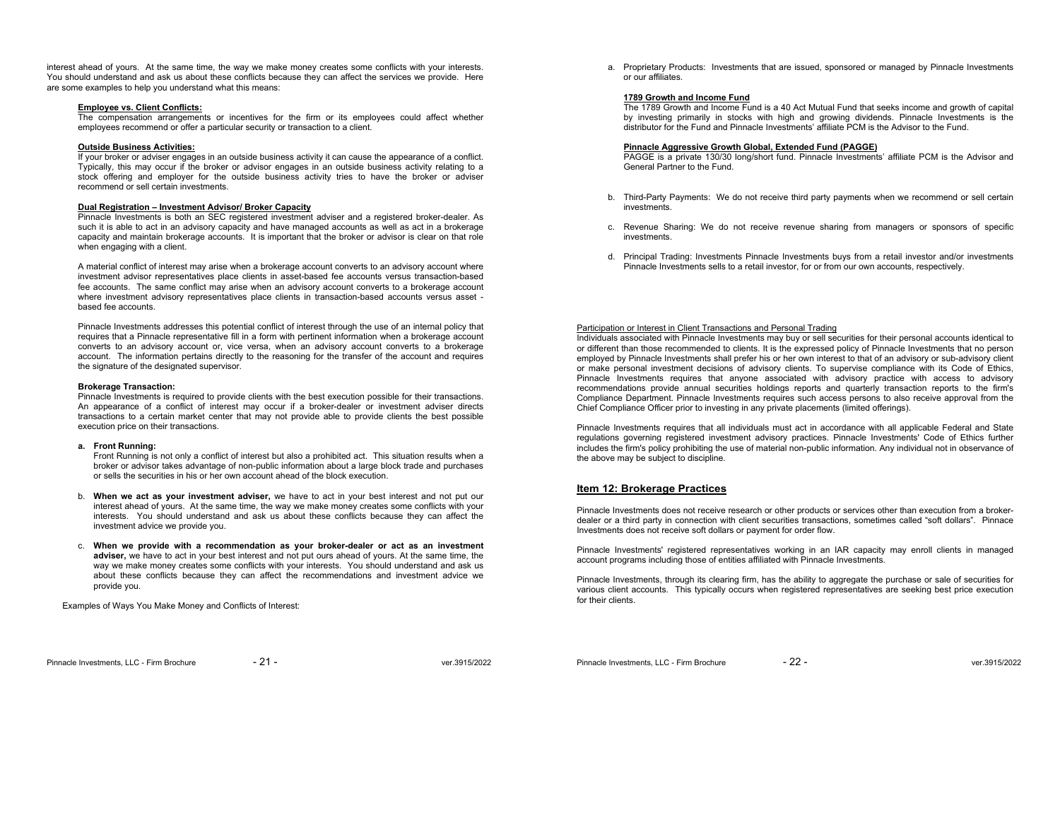interest ahead of yours. At the same time, the way we make money creates some conflicts with your interests. You should understand and ask us about these conflicts because they can affect the services we provide. Here are some examples to help you understand what this means:

# **Employee vs. Client Conflicts:**

The compensation arrangements or incentives for the firm or its employees could affect whether employees recommend or offer a particular security or transaction to a client.

### **Outside Business Activities:**

 If your broker or adviser engages in an outside business activity it can cause the appearance of a conflict. Typically, this may occur if the broker or advisor engages in an outside business activity relating to a stock offering and employer for the outside business activity tries to have the broker or adviser recommend or sell certain investments.

# **Dual Registration – Investment Advisor/ Broker Capacity**

Pinnacle Investments is both an SEC registered investment adviser and a registered broker-dealer. As such it is able to act in an advisory capacity and have managed accounts as well as act in a brokerage capacity and maintain brokerage accounts. It is important that the broker or advisor is clear on that role when engaging with a client.

A material conflict of interest may arise when a brokerage account converts to an advisory account where investment advisor representatives place clients in asset-based fee accounts versus transaction-based fee accounts. The same conflict may arise when an advisory account converts to a brokerage account where investment advisory representatives place clients in transaction-based accounts versus asset based fee accounts.

Pinnacle Investments addresses this potential conflict of interest through the use of an internal policy that requires that a Pinnacle representative fill in a form with pertinent information when a brokerage account converts to an advisory account or, vice versa, when an advisory account converts to a brokerage account. The information pertains directly to the reasoning for the transfer of the account and requires the signature of the designated supervisor.

# **Brokerage Transaction:**

Pinnacle Investments is required to provide clients with the best execution possible for their transactions. An appearance of a conflict of interest may occur if a broker-dealer or investment adviser directs transactions to a certain market center that may not provide able to provide clients the best possible execution price on their transactions.

# **a. Front Running:**

Front Running is not only a conflict of interest but also a prohibited act. This situation results when a broker or advisor takes advantage of non-public information about a large block trade and purchases or sells the securities in his or her own account ahead of the block execution.

- b. **When we act as your investment adviser,** we have to act in your best interest and not put our interest ahead of yours. At the same time, the way we make money creates some conflicts with your interests. You should understand and ask us about these conflicts because they can affect the investment advice we provide you.
- c. **When we provide with a recommendation as your broker-dealer or act as an investment adviser,** we have to act in your best interest and not put ours ahead of yours. At the same time, the way we make money creates some conflicts with your interests. You should understand and ask us about these conflicts because they can affect the recommendations and investment advice we provide you.

Examples of Ways You Make Money and Conflicts of Interest:

a. Proprietary Products: Investments that are issued, sponsored or managed by Pinnacle Investments or our affiliates.

#### **1789 Growth and Income Fund**

 The 1789 Growth and Income Fund is a 40 Act Mutual Fund that seeks income and growth of capital by investing primarily in stocks with high and growing dividends. Pinnacle Investments is the distributor for the Fund and Pinnacle Investments' affiliate PCM is the Advisor to the Fund.

#### **Pinnacle Aggressive Growth Global, Extended Fund (PAGGE)**

PAGGE is a private 130/30 long/short fund. Pinnacle Investments' affiliate PCM is the Advisor and General Partner to the Fund.

- b. Third-Party Payments: We do not receive third party payments when we recommend or sell certain investments.
- c. Revenue Sharing: We do not receive revenue sharing from managers or sponsors of specific investments.
- d. Principal Trading: Investments Pinnacle Investments buys from a retail investor and/or investments Pinnacle Investments sells to a retail investor, for or from our own accounts, respectively.

# Participation or Interest in Client Transactions and Personal Trading

Individuals associated with Pinnacle Investments may buy or sell securities for their personal accounts identical to or different than those recommended to clients. It is the expressed policy of Pinnacle Investments that no person employed by Pinnacle Investments shall prefer his or her own interest to that of an advisory or sub-advisory client or make personal investment decisions of advisory clients. To supervise compliance with its Code of Ethics, Pinnacle Investments requires that anyone associated with advisory practice with access to advisory recommendations provide annual securities holdings reports and quarterly transaction reports to the firm's Compliance Department. Pinnacle Investments requires such access persons to also receive approval from the Chief Compliance Officer prior to investing in any private placements (limited offerings).

Pinnacle Investments requires that all individuals must act in accordance with all applicable Federal and State regulations governing registered investment advisory practices. Pinnacle Investments' Code of Ethics further includes the firm's policy prohibiting the use of material non-public information. Any individual not in observance of the above may be subject to discipline.

# **Item 12: Brokerage Practices**

Pinnacle Investments does not receive research or other products or services other than execution from a brokerdealer or a third party in connection with client securities transactions, sometimes called "soft dollars". Pinnace Investments does not receive soft dollars or payment for order flow.

Pinnacle Investments' registered representatives working in an IAR capacity may enroll clients in managed account programs including those of entities affiliated with Pinnacle Investments.

Pinnacle Investments, through its clearing firm, has the ability to aggregate the purchase or sale of securities for various client accounts. This typically occurs when registered representatives are seeking best price execution for their clients.

Pinnacle Investments, LLC - Firm Brochure  $-21 -$ 

Pinnacle Investments, LLC - Firm Brochure  $-22$  -  $-$  22 - ver.3915/2022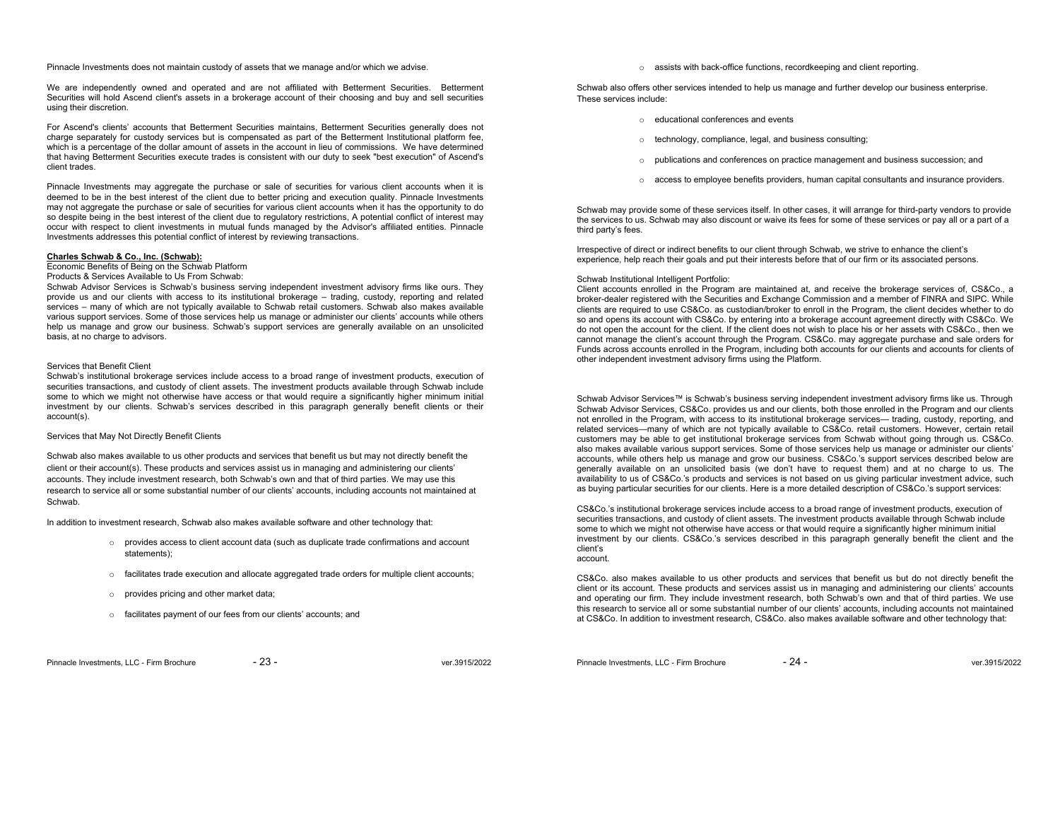Pinnacle Investments does not maintain custody of assets that we manage and/or which we advise.

We are independently owned and operated and are not affiliated with Betterment Securities. Betterment Securities will hold Ascend client's assets in a brokerage account of their choosing and buy and sell securities using their discretion.

For Ascend's clients' accounts that Betterment Securities maintains, Betterment Securities generally does not charge separately for custody services but is compensated as part of the Betterment Institutional platform fee, which is a percentage of the dollar amount of assets in the account in lieu of commissions. We have determined that having Betterment Securities execute trades is consistent with our duty to seek "best execution" of Ascend's client trades.

Pinnacle Investments may aggregate the purchase or sale of securities for various client accounts when it is deemed to be in the best interest of the client due to better pricing and execution quality. Pinnacle Investments may not aggregate the purchase or sale of securities for various client accounts when it has the opportunity to do so despite being in the best interest of the client due to regulatory restrictions, A potential conflict of interest may occur with respect to client investments in mutual funds managed by the Advisor's affiliated entities. Pinnacle Investments addresses this potential conflict of interest by reviewing transactions.

# **Charles Schwab & Co., Inc. (Schwab):**

Economic Benefits of Being on the Schwab Platform

### Products & Services Available to Us From Schwab:

 Schwab Advisor Services is Schwab's business serving independent investment advisory firms like ours. They provide us and our clients with access to its institutional brokerage – trading, custody, reporting and related services – many of which are not typically available to Schwab retail customers. Schwab also makes available various support services. Some of those services help us manage or administer our clients' accounts while others help us manage and grow our business. Schwab's support services are generally available on an unsolicited basis, at no charge to advisors.

# Services that Benefit Client

 Schwab's institutional brokerage services include access to a broad range of investment products, execution of securities transactions, and custody of client assets. The investment products available through Schwab include some to which we might not otherwise have access or that would require a significantly higher minimum initial investment by our clients. Schwab's services described in this paragraph generally benefit clients or their account(s).

#### Services that May Not Directly Benefit Clients

Schwab also makes available to us other products and services that benefit us but may not directly benefit the client or their account(s). These products and services assist us in managing and administering our clients' accounts. They include investment research, both Schwab's own and that of third parties. We may use this research to service all or some substantial number of our clients' accounts, including accounts not maintained at Schwab.

In addition to investment research, Schwab also makes available software and other technology that:

- <sup>o</sup> provides access to client account data (such as duplicate trade confirmations and account statements);
- $\circ$  facilitates trade execution and allocate aggregated trade orders for multiple client accounts;
- <sup>o</sup> provides pricing and other market data;
- <sup>o</sup> facilitates payment of our fees from our clients' accounts; and

<sup>o</sup> assists with back-office functions, recordkeeping and client reporting.

Schwab also offers other services intended to help us manage and further develop our business enterprise. These services include:

- o educational conferences and events
- <sup>o</sup> technology, compliance, legal, and business consulting;
- <sup>o</sup> publications and conferences on practice management and business succession; and
- <sup>o</sup> access to employee benefits providers, human capital consultants and insurance providers.

Schwab may provide some of these services itself. In other cases, it will arrange for third-party vendors to provide the services to us. Schwab may also discount or waive its fees for some of these services or pay all or a part of a third party's fees.

Irrespective of direct or indirect benefits to our client through Schwab, we strive to enhance the client's experience, help reach their goals and put their interests before that of our firm or its associated persons.

# Schwab Institutional Intelligent Portfolio:

Client accounts enrolled in the Program are maintained at, and receive the brokerage services of, CS&Co., a broker-dealer registered with the Securities and Exchange Commission and a member of FINRA and SIPC. While clients are required to use CS&Co. as custodian/broker to enroll in the Program, the client decides whether to do so and opens its account with CS&Co. by entering into a brokerage account agreement directly with CS&Co. We do not open the account for the client. If the client does not wish to place his or her assets with CS&Co., then we cannot manage the client's account through the Program. CS&Co. may aggregate purchase and sale orders for Funds across accounts enrolled in the Program, including both accounts for our clients and accounts for clients of other independent investment advisory firms using the Platform.

Schwab Advisor Services™ is Schwab's business serving independent investment advisory firms like us. Through Schwab Advisor Services, CS&Co. provides us and our clients, both those enrolled in the Program and our clients not enrolled in the Program, with access to its institutional brokerage services— trading, custody, reporting, and related services—many of which are not typically available to CS&Co. retail customers. However, certain retail customers may be able to get institutional brokerage services from Schwab without going through us. CS&Co. also makes available various support services. Some of those services help us manage or administer our clients' accounts, while others help us manage and grow our business. CS&Co.'s support services described below are generally available on an unsolicited basis (we don't have to request them) and at no charge to us. The availability to us of CS&Co.'s products and services is not based on us giving particular investment advice, such as buying particular securities for our clients. Here is a more detailed description of CS&Co.'s support services:

CS&Co.'s institutional brokerage services include access to a broad range of investment products, execution of securities transactions, and custody of client assets. The investment products available through Schwab include some to which we might not otherwise have access or that would require a significantly higher minimum initial investment by our clients. CS&Co.'s services described in this paragraph generally benefit the client and the client's account.

CS&Co. also makes available to us other products and services that benefit us but do not directly benefit the client or its account. These products and services assist us in managing and administering our clients' accounts and operating our firm. They include investment research, both Schwab's own and that of third parties. We use this research to service all or some substantial number of our clients' accounts, including accounts not maintained at CS&Co. In addition to investment research, CS&Co. also makes available software and other technology that:

Pinnacle Investments, LLC - Firm Brochure  $-24 -$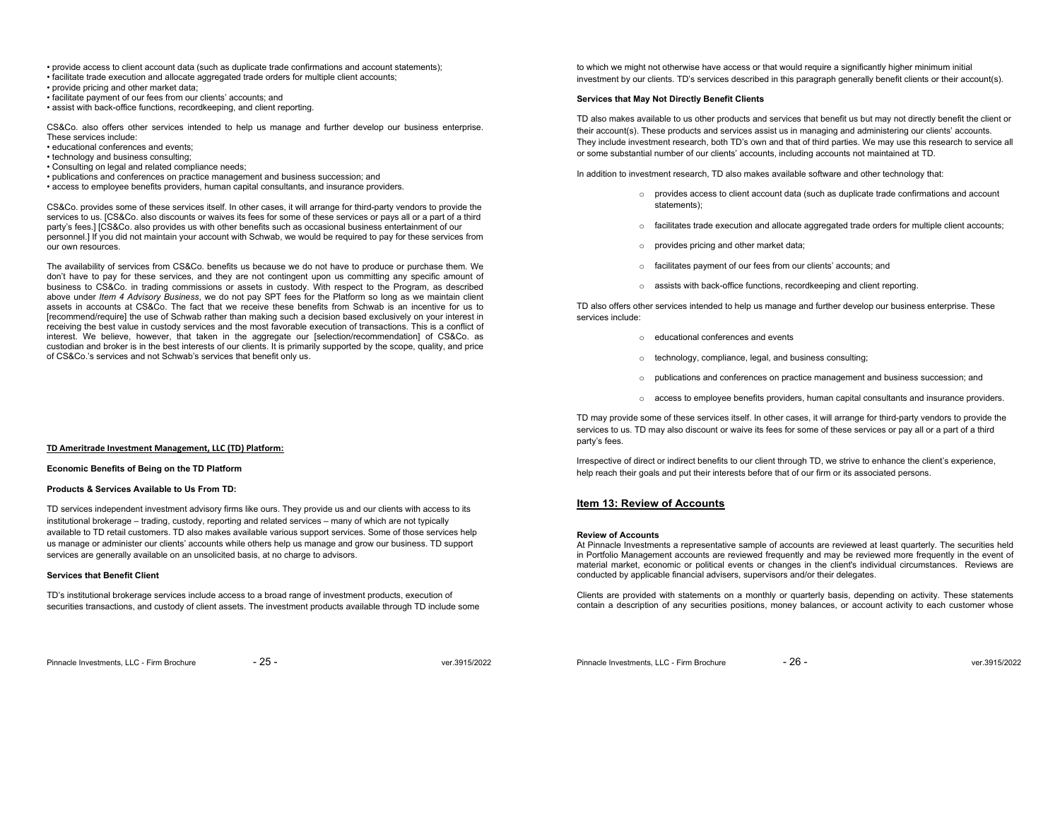- provide access to client account data (such as duplicate trade confirmations and account statements);
- facilitate trade execution and allocate aggregated trade orders for multiple client accounts;
- provide pricing and other market data;
- facilitate payment of our fees from our clients' accounts; and
- assist with back-office functions, recordkeeping, and client reporting.

CS&Co. also offers other services intended to help us manage and further develop our business enterprise. These services include:

- educational conferences and events;
- technology and business consulting;
- Consulting on legal and related compliance needs;
- publications and conferences on practice management and business succession; and
- access to employee benefits providers, human capital consultants, and insurance providers.

CS&Co. provides some of these services itself. In other cases, it will arrange for third-party vendors to provide the services to us. [CS&Co. also discounts or waives its fees for some of these services or pays all or a part of a third party's fees.] [CS&Co. also provides us with other benefits such as occasional business entertainment of our personnel.] If you did not maintain your account with Schwab, we would be required to pay for these services from our own resources.

The availability of services from CS&Co. benefits us because we do not have to produce or purchase them. We don't have to pay for these services, and they are not contingent upon us committing any specific amount of business to CS&Co. in trading commissions or assets in custody. With respect to the Program, as described above under *Item 4 Advisory Business*, we do not pay SPT fees for the Platform so long as we maintain client assets in accounts at CS&Co. The fact that we receive these benefits from Schwab is an incentive for us to [recommend/require] the use of Schwab rather than making such a decision based exclusively on your interest in receiving the best value in custody services and the most favorable execution of transactions. This is a conflict of interest. We believe, however, that taken in the aggregate our [selection/recommendation] of CS&Co. as custodian and broker is in the best interests of our clients. It is primarily supported by the scope, quality, and price of CS&Co.'s services and not Schwab's services that benefit only us.

### **TD Ameritrade Investment Management, LLC (TD) Platform:**

# **Economic Benefits of Being on the TD Platform**

# **Products & Services Available to Us From TD:**

TD services independent investment advisory firms like ours. They provide us and our clients with access to its institutional brokerage – trading, custody, reporting and related services – many of which are not typically available to TD retail customers. TD also makes available various support services. Some of those services help us manage or administer our clients' accounts while others help us manage and grow our business. TD support services are generally available on an unsolicited basis, at no charge to advisors.

# **Services that Benefit Client**

TD's institutional brokerage services include access to a broad range of investment products, execution of securities transactions, and custody of client assets. The investment products available through TD include some

Pinnacle Investments, LLC - Firm Brochure  $-25 -$ 

to which we might not otherwise have access or that would require a significantly higher minimum initial investment by our clients. TD's services described in this paragraph generally benefit clients or their account(s).

# **Services that May Not Directly Benefit Clients**

TD also makes available to us other products and services that benefit us but may not directly benefit the client or their account(s). These products and services assist us in managing and administering our clients' accounts. They include investment research, both TD's own and that of third parties. We may use this research to service all or some substantial number of our clients' accounts, including accounts not maintained at TD.

In addition to investment research, TD also makes available software and other technology that:

- <sup>o</sup> provides access to client account data (such as duplicate trade confirmations and account statements);
- <sup>o</sup> facilitates trade execution and allocate aggregated trade orders for multiple client accounts;
- <sup>o</sup> provides pricing and other market data;
- <sup>o</sup> facilitates payment of our fees from our clients' accounts; and
- <sup>o</sup> assists with back-office functions, recordkeeping and client reporting.

TD also offers other services intended to help us manage and further develop our business enterprise. These services include:

- o educational conferences and events
- <sup>o</sup> technology, compliance, legal, and business consulting;
- $\circ$  publications and conferences on practice management and business succession; and
- <sup>o</sup> access to employee benefits providers, human capital consultants and insurance providers.

TD may provide some of these services itself. In other cases, it will arrange for third-party vendors to provide the services to us. TD may also discount or waive its fees for some of these services or pay all or a part of a third party's fees.

Irrespective of direct or indirect benefits to our client through TD, we strive to enhance the client's experience, help reach their goals and put their interests before that of our firm or its associated persons.

# **Item 13: Review of Accounts**

#### **Review of Accounts**

 At Pinnacle Investments a representative sample of accounts are reviewed at least quarterly. The securities held in Portfolio Management accounts are reviewed frequently and may be reviewed more frequently in the event of material market, economic or political events or changes in the client's individual circumstances. Reviews are conducted by applicable financial advisers, supervisors and/or their delegates.

Clients are provided with statements on a monthly or quarterly basis, depending on activity. These statements contain a description of any securities positions, money balances, or account activity to each customer whose

Pinnacle Investments, LLC - Firm Brochure  $\overline{26}$  -  $\overline{26}$  -  $\overline{26}$  ver.3915/2022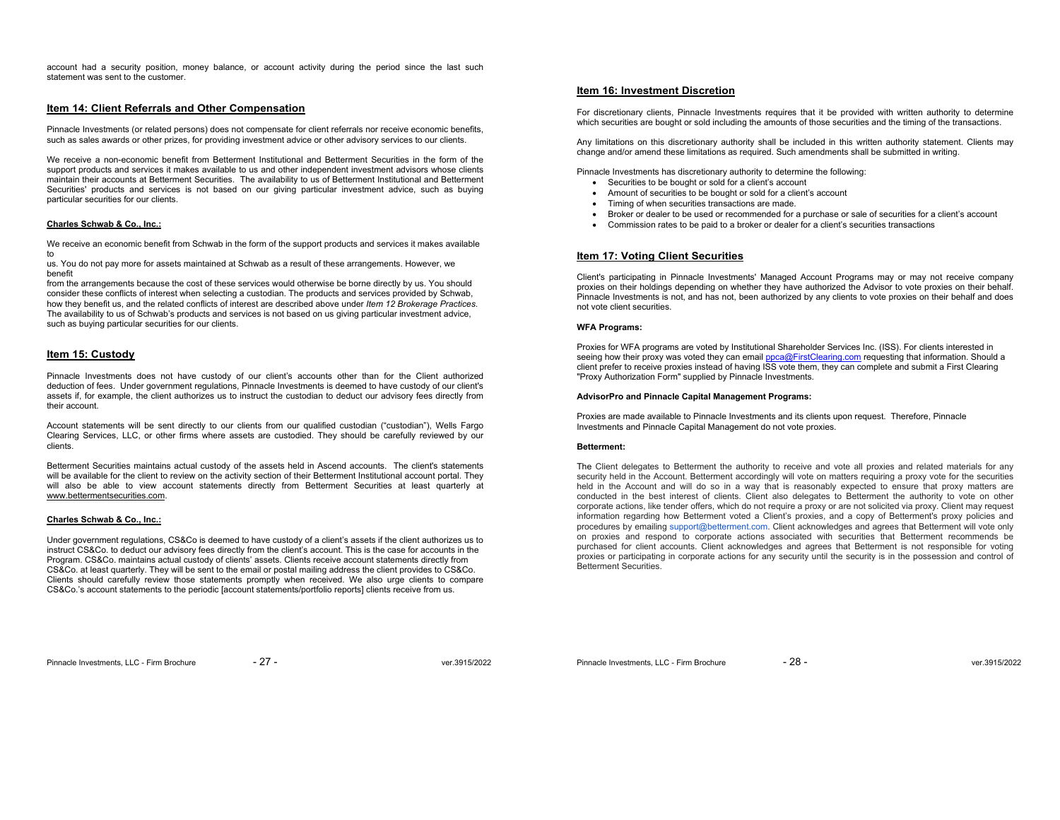account had a security position, money balance, or account activity during the period since the last such statement was sent to the customer.

# **Item 14: Client Referrals and Other Compensation**

Pinnacle Investments (or related persons) does not compensate for client referrals nor receive economic benefits, such as sales awards or other prizes, for providing investment advice or other advisory services to our clients.

We receive a non-economic benefit from Betterment Institutional and Betterment Securities in the form of the support products and services it makes available to us and other independent investment advisors whose clients maintain their accounts at Betterment Securities. The availability to us of Betterment Institutional and Betterment Securities' products and services is not based on our giving particular investment advice, such as buying particular securities for our clients.

# **Charles Schwab & Co., Inc.:**

We receive an economic benefit from Schwab in the form of the support products and services it makes available to

us. You do not pay more for assets maintained at Schwab as a result of these arrangements. However, we benefit

 from the arrangements because the cost of these services would otherwise be borne directly by us. You should consider these conflicts of interest when selecting a custodian. The products and services provided by Schwab, how they benefit us, and the related conflicts of interest are described above under *Item 12 Brokerage Practices*. The availability to us of Schwab's products and services is not based on us giving particular investment advice, such as buying particular securities for our clients.

# **Item 15: Custody**

Pinnacle Investments does not have custody of our client's accounts other than for the Client authorized deduction of fees. Under government regulations, Pinnacle Investments is deemed to have custody of our client's assets if, for example, the client authorizes us to instruct the custodian to deduct our advisory fees directly from their account.

Account statements will be sent directly to our clients from our qualified custodian ("custodian"), Wells Fargo Clearing Services, LLC, or other firms where assets are custodied. They should be carefully reviewed by our clients.

Betterment Securities maintains actual custody of the assets held in Ascend accounts. The client's statements will be available for the client to review on the activity section of their Betterment Institutional account portal. They will also be able to view account statements directly from Betterment Securities at least quarterly at www.bettermentsecurities.com.

# **Charles Schwab & Co., Inc.:**

Under government regulations, CS&Co is deemed to have custody of a client's assets if the client authorizes us to instruct CS&Co. to deduct our advisory fees directly from the client's account. This is the case for accounts in the Program. CS&Co. maintains actual custody of clients' assets. Clients receive account statements directly from CS&Co. at least quarterly. They will be sent to the email or postal mailing address the client provides to CS&Co. Clients should carefully review those statements promptly when received. We also urge clients to compare CS&Co.'s account statements to the periodic [account statements/portfolio reports] clients receive from us.

# **Item 16: Investment Discretion**

For discretionary clients, Pinnacle Investments requires that it be provided with written authority to determine which securities are bought or sold including the amounts of those securities and the timing of the transactions.

Any limitations on this discretionary authority shall be included in this written authority statement. Clients may change and/or amend these limitations as required. Such amendments shall be submitted in writing.

Pinnacle Investments has discretionary authority to determine the following:

- Securities to be bought or sold for a client's account
- Amount of securities to be bought or sold for a client's account
- Timing of when securities transactions are made.
- Broker or dealer to be used or recommended for a purchase or sale of securities for a client's account
- Commission rates to be paid to a broker or dealer for a client's securities transactions

# **Item 17: Voting Client Securities**

Client's participating in Pinnacle Investments' Managed Account Programs may or may not receive company proxies on their holdings depending on whether they have authorized the Advisor to vote proxies on their behalf. Pinnacle Investments is not, and has not, been authorized by any clients to vote proxies on their behalf and does not vote client securities.

#### **WFA Programs:**

Proxies for WFA programs are voted by Institutional Shareholder Services Inc. (ISS). For clients interested in seeing how their proxy was voted they can email ppca@FirstClearing.com requesting that information. Should a client prefer to receive proxies instead of having ISS vote them, they can complete and submit a First Clearing "Proxy Authorization Form" supplied by Pinnacle Investments.

#### **AdvisorPro and Pinnacle Capital Management Programs:**

Proxies are made available to Pinnacle Investments and its clients upon request. Therefore, Pinnacle Investments and Pinnacle Capital Management do not vote proxies.

#### **Betterment:**

The Client delegates to Betterment the authority to receive and vote all proxies and related materials for any security held in the Account. Betterment accordingly will vote on matters requiring a proxy vote for the securities held in the Account and will do so in a way that is reasonably expected to ensure that proxy matters are conducted in the best interest of clients. Client also delegates to Betterment the authority to vote on other corporate actions, like tender offers, which do not require a proxy or are not solicited via proxy. Client may request information regarding how Betterment voted a Client's proxies, and a copy of Betterment's proxy policies and procedures by emailing support@betterment.com. Client acknowledges and agrees that Betterment will vote only on proxies and respond to corporate actions associated with securities that Betterment recommends be purchased for client accounts. Client acknowledges and agrees that Betterment is not responsible for voting proxies or participating in corporate actions for any security until the security is in the possession and control of Betterment Securities.

Pinnacle Investments, LLC - Firm Brochure  $-28 - 28$  - ver.3915/2022